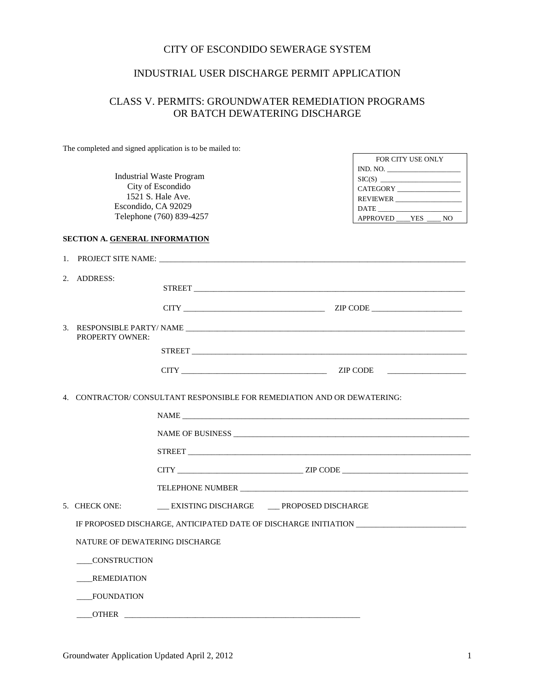#### CITY OF ESCONDIDO SEWERAGE SYSTEM

#### INDUSTRIAL USER DISCHARGE PERMIT APPLICATION

## CLASS V. PERMITS: GROUNDWATER REMEDIATION PROGRAMS OR BATCH DEWATERING DISCHARGE

The completed and signed application is to be mailed to:

Industrial Waste Program City of Escondido 1521 S. Hale Ave. Escondido, CA 92029 Telephone (760) 839-4257

| FOR CITY USE ONLY   |
|---------------------|
| IND. NO.            |
|                     |
| CATEGORY            |
| REVIEWER            |
| <b>DATE</b>         |
| APPROVED YES<br>N() |

#### **SECTION A. GENERAL INFORMATION**

|  | 2. ADDRESS:                                                                                                                         | STREET FOR THE STREET STREET STREET STREET STREET STREET STREET STREET STREET STREET STREET STREET STREET STREET STREET STREET STREET STREET STREET STREET STREET STREET STREET STREET STREET STREET STREET STREET STREET STRE |  |  |
|--|-------------------------------------------------------------------------------------------------------------------------------------|--------------------------------------------------------------------------------------------------------------------------------------------------------------------------------------------------------------------------------|--|--|
|  |                                                                                                                                     |                                                                                                                                                                                                                                |  |  |
|  |                                                                                                                                     |                                                                                                                                                                                                                                |  |  |
|  | <b>PROPERTY OWNER:</b>                                                                                                              |                                                                                                                                                                                                                                |  |  |
|  |                                                                                                                                     |                                                                                                                                                                                                                                |  |  |
|  |                                                                                                                                     |                                                                                                                                                                                                                                |  |  |
|  |                                                                                                                                     | 4. CONTRACTOR/CONSULTANT RESPONSIBLE FOR REMEDIATION AND OR DEWATERING:                                                                                                                                                        |  |  |
|  |                                                                                                                                     |                                                                                                                                                                                                                                |  |  |
|  |                                                                                                                                     |                                                                                                                                                                                                                                |  |  |
|  |                                                                                                                                     |                                                                                                                                                                                                                                |  |  |
|  |                                                                                                                                     | $CITY$ $ZIP \text{ CODE}$                                                                                                                                                                                                      |  |  |
|  |                                                                                                                                     |                                                                                                                                                                                                                                |  |  |
|  | 5. CHECK ONE:                                                                                                                       | __ EXISTING DISCHARGE __ PROPOSED DISCHARGE                                                                                                                                                                                    |  |  |
|  | IF PROPOSED DISCHARGE, ANTICIPATED DATE OF DISCHARGE INITIATION _________________<br>NATURE OF DEWATERING DISCHARGE<br>CONSTRUCTION |                                                                                                                                                                                                                                |  |  |
|  |                                                                                                                                     |                                                                                                                                                                                                                                |  |  |
|  |                                                                                                                                     |                                                                                                                                                                                                                                |  |  |
|  | REMEDIATION                                                                                                                         |                                                                                                                                                                                                                                |  |  |
|  | FOUNDATION                                                                                                                          |                                                                                                                                                                                                                                |  |  |
|  | <b>OTHER</b>                                                                                                                        |                                                                                                                                                                                                                                |  |  |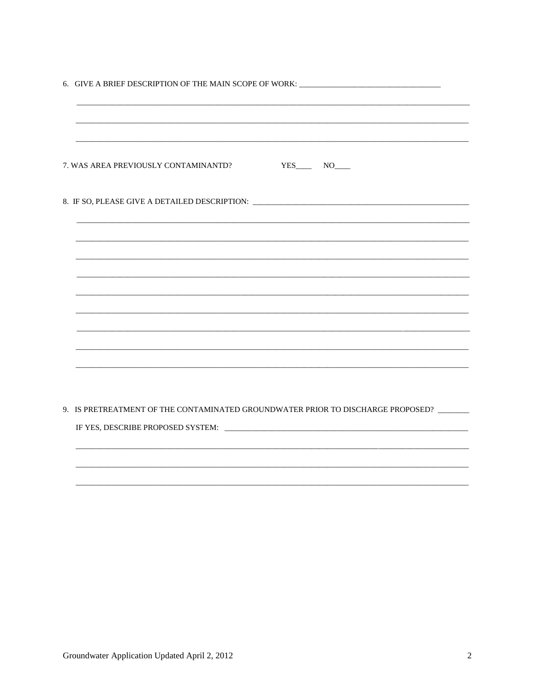|                                                                                  | 6. GIVE A BRIEF DESCRIPTION OF THE MAIN SCOPE OF WORK: _________________________        |
|----------------------------------------------------------------------------------|-----------------------------------------------------------------------------------------|
|                                                                                  |                                                                                         |
| 7. WAS AREA PREVIOUSLY CONTAMINANTD?                                             | $YES$ NO $N$                                                                            |
| 8. IF SO, PLEASE GIVE A DETAILED DESCRIPTION: __________________________________ |                                                                                         |
|                                                                                  |                                                                                         |
|                                                                                  |                                                                                         |
|                                                                                  |                                                                                         |
|                                                                                  |                                                                                         |
|                                                                                  |                                                                                         |
|                                                                                  | 9. IS PRETREATMENT OF THE CONTAMINATED GROUNDWATER PRIOR TO DISCHARGE PROPOSED? _______ |
|                                                                                  |                                                                                         |
|                                                                                  |                                                                                         |
|                                                                                  |                                                                                         |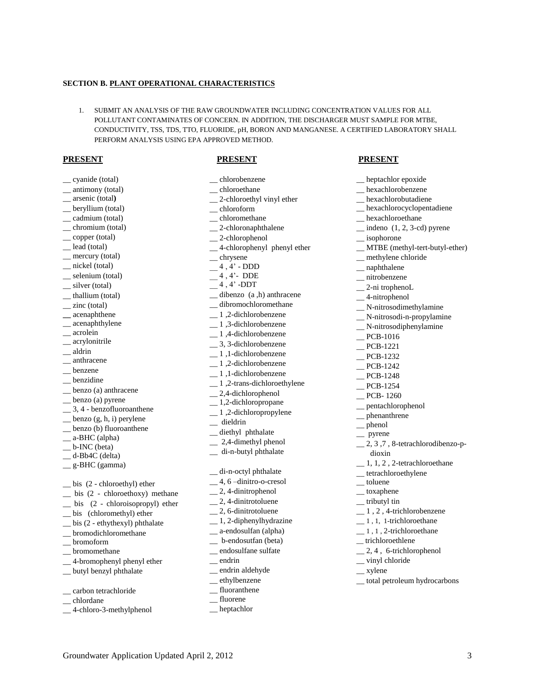#### **SECTION B. PLANT OPERATIONAL CHARACTERISTICS**

1. SUBMIT AN ANALYSIS OF THE RAW GROUNDWATER INCLUDING CONCENTRATION VALUES FOR ALL POLLUTANT CONTAMINATES OF CONCERN. IN ADDITION, THE DISCHARGER MUST SAMPLE FOR MTBE, CONDUCTIVITY, TSS, TDS, TTO, FLUORIDE, pH, BORON AND MANGANESE. A CERTIFIED LABORATORY SHALL PERFORM ANALYSIS USING EPA APPROVED METHOD.

#### **PRESENT PRESENT PRESENT**

| _chlorobenzene                         |
|----------------------------------------|
| _chloroethane                          |
| _2-chloroethyl vinyl ether             |
| _chloroform                            |
| _ chloromethane                        |
| _2-chloronaphthalene                   |
| $-2$ -chlorophenol                     |
| -4-chlorophenyl phenyl ether           |
| _ chrysene                             |
| $-4, 4$ ' - DDD                        |
| $-4, 4$ DDE                            |
| $-$ <sup>4</sup> , <sup>4</sup> ' -DDT |
| _dibenzo (a,h) anthracene              |
| _dibromochloromethane                  |
| _1,2-dichlorobenzene                   |
| _1,3-dichlorobenzene                   |
| _1,4-dichlorobenzene                   |
| _3, 3-dichlorobenzene                  |
| _1,1-dichlorobenzene                   |
| $\_ 1, 2$ -dichlorobenzene             |
| _1,1-dichlorobenzene                   |
| $\_ 1$ , 2-trans-dichloroethylene      |
| _2,4-dichlorophenol                    |
| $\_\_$ 1,2-dichloropropane             |
| $\_ 1, 2$ -dichloropropylene           |
| $\overline{\phantom{a}}$ dieldrin      |
| _diethyl phthalate                     |
| $-2,4$ -dimethyl phenol                |
| _ di-n-butyl phthalate                 |
|                                        |
| _ di-n-octyl phthalate                 |
| _4, 6-dinitro-o-cresol                 |
| _2, 4-dinitrophenol                    |
| $\frac{1}{2}$ , 4-dinitrotoluene       |
| _2, 6-dinitrotoluene                   |
| _1, 2-diphenylhydrazine                |
| _ a-endosulfan (alpha)                 |
| _b-endosutfan (beta)                   |
| _ endosulfane sulfate                  |
| $=$ endrin                             |
| _ endrin aldehyde                      |
| ethylbenzene                           |

\_\_ fluoranthene \_\_ fluorene \_\_ heptachlor

| heptachlor epoxide                           |
|----------------------------------------------|
| _ hexachlorobenzene                          |
| _ hexachlorobutadiene                        |
| _ hexachlorocyclopentadiene                  |
| _ hexachloroethane                           |
| $\equiv$ indeno $(1, 2, 3-\text{cd})$ pyrene |
| $\equiv$ isophorone                          |
| _MTBE (methyl-tert-butyl-ether)              |
| _ methylene chloride                         |
| _ naphthalene                                |
| _ nitrobenzene                               |
| _2-ni trophenoL                              |
| -4-nitrophenol                               |
| _N-nitrosodimethylamine                      |
| _ N-nitrosodi-n-propylamine                  |
| _ N-nitrosodiphenylamine                     |
| $\overline{\phantom{1}}$ PCB-1016            |
| $-$ PCB-1221                                 |
| $\angle$ PCB-1232                            |
| $-$ PCB-1242                                 |
| $PCB-1248$                                   |
| $-$ PCB-1254                                 |
| $-$ PCB-1260                                 |
| _pentachlorophenol                           |
| $\equiv$ phenanthrene                        |
| $\equiv$ phenol                              |
| - pyrene                                     |
| _2, 3, 7, 8-tetrachlorodibenzo-p-            |
| dioxin                                       |
| _1, 1, 2, 2-tetrachloroethane                |
| _tetrachloroethylene                         |
| __ toluene                                   |
| __toxaphene                                  |
| $\equiv$ tributyl tin                        |
| _1, 2, 4-trichlorobenzene                    |
| _1, 1, 1-trichloroethane                     |
| 1, 1, 2-trichloroethane                      |
| _trichloroethlene                            |
| $\_\_2$ , 4, 6-trichlorophenol               |
| _ vinyl chloride                             |
| $\equiv$ xylene                              |
| _total petroleum hydrocarbons                |

- \_\_ cyanide (total) \_\_ antimony (total)
- \_\_ arsenic (total**)**
- \_\_ beryllium (total)
- \_\_ cadmium (total)
- \_\_ chromium (total)
- \_\_ copper (total)
- \_\_ lead (total)
- \_\_ mercury (total)
- \_\_ nickel (total)
- \_\_ selenium (total)
- \_\_ silver (total)
- \_\_ thallium (total)
- $\equiv$  zinc (total)
- **\_\_** acenaphthene
- \_\_ acenaphthylene
- \_\_ acrolein
- \_\_ acrylonitrile
- \_\_ aldrin
- \_\_ anthracene
- \_\_ benzene
- \_\_ benzidine
- \_\_ benzo (a) anthracene
- \_\_ benzo (a) pyrene
- \_\_ 3, 4 benzofluoroanthene
- $\equiv$  benzo  $(g, h, i)$  perylene
- \_\_ benzo (b) fluoroanthene
- \_\_ a-BHC (alpha)
- \_\_ b-INC (beta)
- \_\_ d-Bb4C (delta)
- \_\_ g-BHC (gamma)
- \_\_ bis (2 chloroethyl) ether
- \_\_ bis (2 chloroethoxy) methane
- \_\_ bis (2 chloroisopropyl) ether
- \_\_ bis (chloromethyl) ether
- \_\_ bis (2 ethythexyl) phthalate
- $\equiv$ bromodichloromethane
- \_\_ bromoform
- \_\_ bromomethane
- \_\_ 4-bromophenyl phenyl ether
- \_\_ butyl benzyl phthalate
- \_\_ carbon tetrachloride
- \_\_ chlordane
- \_\_ 4-chloro-3-methylphenol

Groundwater Application Updated April 2, 2012 3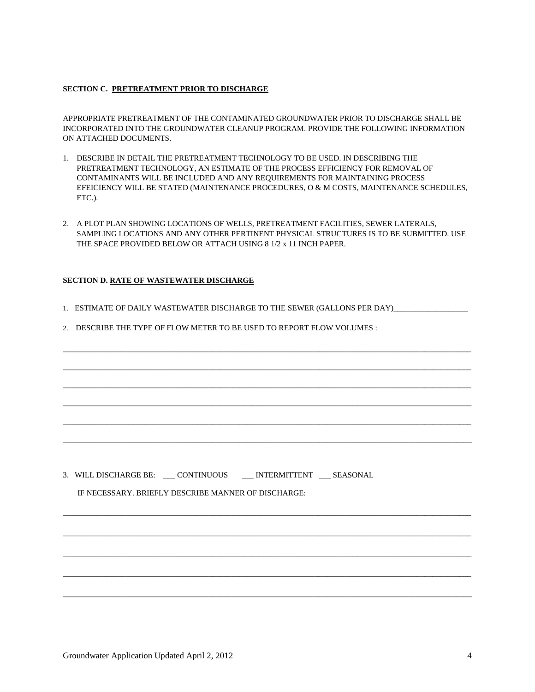#### **SECTION C. PRETREATMENT PRIOR TO DISCHARGE**

APPROPRIATE PRETREATMENT OF THE CONTAMINATED GROUNDWATER PRIOR TO DISCHARGE SHALL BE INCORPORATED INTO THE GROUNDWATER CLEANUP PROGRAM. PROVIDE THE FOLLOWING INFORMATION ON ATTACHED DOCUMENTS.

- 1. DESCRIBE IN DETAIL THE PRETREATMENT TECHNOLOGY TO BE USED. IN DESCRIBING THE PRETREATMENT TECHNOLOGY, AN ESTIMATE OF THE PROCESS EFFICIENCY FOR REMOVAL OF CONTAMINANTS WILL BE INCLUDED AND ANY REQUIREMENTS FOR MAINTAINING PROCESS EFEICIENCY WILL BE STATED (MAINTENANCE PROCEDURES, O & M COSTS, MAINTENANCE SCHEDULES, ETC.).
- 2. A PLOT PLAN SHOWING LOCATIONS OF WELLS, PRETREATMENT FACILITIES, SEWER LATERALS, SAMPLING LOCATIONS AND ANY OTHER PERTINENT PHYSICAL STRUCTURES IS TO BE SUBMITTED. USE THE SPACE PROVIDED BELOW OR ATTACH USING 8 1/2 x 11 INCH PAPER.

#### **SECTION D. RATE OF WASTEWATER DISCHARGE**

1. ESTIMATE OF DAILY WASTEWATER DISCHARGE TO THE SEWER (GALLONS PER DAY)\_\_\_\_\_\_\_\_\_\_\_\_\_\_\_\_\_\_\_

\_\_\_\_\_\_\_\_\_\_\_\_\_\_\_\_\_\_\_\_\_\_\_\_\_\_\_\_\_\_\_\_\_\_\_\_\_\_\_\_\_\_\_\_\_\_\_\_\_\_\_\_\_\_\_\_\_\_\_\_\_\_\_\_\_\_\_\_\_\_\_\_\_\_\_\_\_\_\_\_\_\_\_\_\_\_\_\_\_\_\_\_\_\_\_\_\_\_\_\_\_\_\_\_

\_\_\_\_\_\_\_\_\_\_\_\_\_\_\_\_\_\_\_\_\_\_\_\_\_\_\_\_\_\_\_\_\_\_\_\_\_\_\_\_\_\_\_\_\_\_\_\_\_\_\_\_\_\_\_\_\_\_\_\_\_\_\_\_\_\_\_\_\_\_\_\_\_\_\_\_\_\_\_\_\_\_\_\_\_\_\_\_\_\_\_\_\_\_\_\_\_\_\_\_\_\_\_\_

\_\_\_\_\_\_\_\_\_\_\_\_\_\_\_\_\_\_\_\_\_\_\_\_\_\_\_\_\_\_\_\_\_\_\_\_\_\_\_\_\_\_\_\_\_\_\_\_\_\_\_\_\_\_\_\_\_\_\_\_\_\_\_\_\_\_\_\_\_\_\_\_\_\_\_\_\_\_\_\_\_\_\_\_\_\_\_\_\_\_\_\_\_\_\_\_\_\_\_\_\_\_\_\_

\_\_\_\_\_\_\_\_\_\_\_\_\_\_\_\_\_\_\_\_\_\_\_\_\_\_\_\_\_\_\_\_\_\_\_\_\_\_\_\_\_\_\_\_\_\_\_\_\_\_\_\_\_\_\_\_\_\_\_\_\_\_\_\_\_\_\_\_\_\_\_\_\_\_\_\_\_\_\_\_\_\_\_\_\_\_\_\_\_\_\_\_\_\_\_\_\_\_\_\_\_\_\_\_

\_\_\_\_\_\_\_\_\_\_\_\_\_\_\_\_\_\_\_\_\_\_\_\_\_\_\_\_\_\_\_\_\_\_\_\_\_\_\_\_\_\_\_\_\_\_\_\_\_\_\_\_\_\_\_\_\_\_\_\_\_\_\_\_\_\_\_\_\_\_\_\_\_\_\_\_\_\_\_\_\_\_\_\_\_\_\_\_\_\_\_\_\_\_\_\_\_\_\_\_\_\_\_\_

\_\_\_\_\_\_\_\_\_\_\_\_\_\_\_\_\_\_\_\_\_\_\_\_\_\_\_\_\_\_\_\_\_\_\_\_\_\_\_\_\_\_\_\_\_\_\_\_\_\_\_\_\_\_\_\_\_\_\_\_\_\_\_\_\_\_\_\_\_\_\_\_\_\_\_\_\_\_\_\_\_\_\_\_\_\_\_\_\_\_\_\_\_\_\_\_\_\_\_\_\_\_\_\_

\_\_\_\_\_\_\_\_\_\_\_\_\_\_\_\_\_\_\_\_\_\_\_\_\_\_\_\_\_\_\_\_\_\_\_\_\_\_\_\_\_\_\_\_\_\_\_\_\_\_\_\_\_\_\_\_\_\_\_\_\_\_\_\_\_\_\_\_\_\_\_\_\_\_\_\_\_\_\_\_\_\_\_\_\_\_\_\_\_\_\_\_\_\_\_\_\_\_\_\_\_\_\_\_

\_\_\_\_\_\_\_\_\_\_\_\_\_\_\_\_\_\_\_\_\_\_\_\_\_\_\_\_\_\_\_\_\_\_\_\_\_\_\_\_\_\_\_\_\_\_\_\_\_\_\_\_\_\_\_\_\_\_\_\_\_\_\_\_\_\_\_\_\_\_\_\_\_\_\_\_\_\_\_\_\_\_\_\_\_\_\_\_\_\_\_\_\_\_\_\_\_\_\_\_\_\_\_\_

\_\_\_\_\_\_\_\_\_\_\_\_\_\_\_\_\_\_\_\_\_\_\_\_\_\_\_\_\_\_\_\_\_\_\_\_\_\_\_\_\_\_\_\_\_\_\_\_\_\_\_\_\_\_\_\_\_\_\_\_\_\_\_\_\_\_\_\_\_\_\_\_\_\_\_\_\_\_\_\_\_\_\_\_\_\_\_\_\_\_\_\_\_\_\_\_\_\_\_\_\_\_\_\_

\_\_\_\_\_\_\_\_\_\_\_\_\_\_\_\_\_\_\_\_\_\_\_\_\_\_\_\_\_\_\_\_\_\_\_\_\_\_\_\_\_\_\_\_\_\_\_\_\_\_\_\_\_\_\_\_\_\_\_\_\_\_\_\_\_\_\_\_\_\_\_\_\_\_\_\_\_\_\_\_\_\_\_\_\_\_\_\_\_\_\_\_\_\_\_\_\_\_\_\_\_\_\_\_

\_\_\_\_\_\_\_\_\_\_\_\_\_\_\_\_\_\_\_\_\_\_\_\_\_\_\_\_\_\_\_\_\_\_\_\_\_\_\_\_\_\_\_\_\_\_\_\_\_\_\_\_\_\_\_\_\_\_\_\_\_\_\_\_\_\_\_\_\_\_\_\_\_\_\_\_\_\_\_\_\_\_\_\_\_\_\_\_\_\_\_\_\_\_\_\_\_\_\_\_\_\_\_\_

2. DESCRIBE THE TYPE OF FLOW METER TO BE USED TO REPORT FLOW VOLUMES :

3. WILL DISCHARGE BE: \_\_\_ CONTINUOUS \_\_\_ INTERMITTENT \_\_\_ SEASONAL

IF NECESSARY. BRIEFLY DESCRIBE MANNER OF DISCHARGE: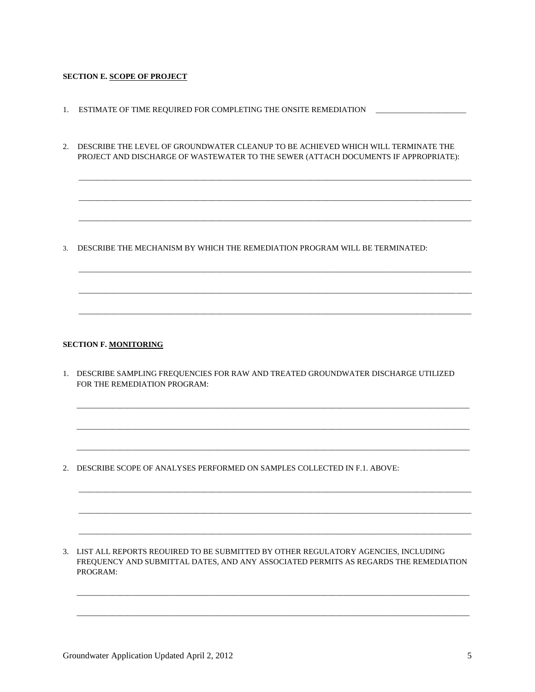#### **SECTION E. SCOPE OF PROJECT**

- 1. ESTIMATE OF TIME REQUIRED FOR COMPLETING THE ONSITE REMEDIATION  $\qquad$
- 2. DESCRIBE THE LEVEL OF GROUNDWATER CLEANUP TO BE ACHIEVED WHICH WILL TERMINATE THE PROJECT AND DISCHARGE OF WASTEWATER TO THE SEWER (ATTACH DOCUMENTS IF APPROPRIATE):

 $\overline{\phantom{a}}$  , and the set of the set of the set of the set of the set of the set of the set of the set of the set of the set of the set of the set of the set of the set of the set of the set of the set of the set of the s

 $\overline{\phantom{a}}$  , and the set of the set of the set of the set of the set of the set of the set of the set of the set of the set of the set of the set of the set of the set of the set of the set of the set of the set of the s

 $\mathcal{L}_\mathcal{L} = \mathcal{L}_\mathcal{L} = \mathcal{L}_\mathcal{L} = \mathcal{L}_\mathcal{L} = \mathcal{L}_\mathcal{L} = \mathcal{L}_\mathcal{L} = \mathcal{L}_\mathcal{L} = \mathcal{L}_\mathcal{L} = \mathcal{L}_\mathcal{L} = \mathcal{L}_\mathcal{L} = \mathcal{L}_\mathcal{L} = \mathcal{L}_\mathcal{L} = \mathcal{L}_\mathcal{L} = \mathcal{L}_\mathcal{L} = \mathcal{L}_\mathcal{L} = \mathcal{L}_\mathcal{L} = \mathcal{L}_\mathcal{L}$ 

 $\overline{\phantom{a}}$  , and the set of the set of the set of the set of the set of the set of the set of the set of the set of the set of the set of the set of the set of the set of the set of the set of the set of the set of the s

 $\overline{\phantom{a}}$  ,  $\overline{\phantom{a}}$  ,  $\overline{\phantom{a}}$  ,  $\overline{\phantom{a}}$  ,  $\overline{\phantom{a}}$  ,  $\overline{\phantom{a}}$  ,  $\overline{\phantom{a}}$  ,  $\overline{\phantom{a}}$  ,  $\overline{\phantom{a}}$  ,  $\overline{\phantom{a}}$  ,  $\overline{\phantom{a}}$  ,  $\overline{\phantom{a}}$  ,  $\overline{\phantom{a}}$  ,  $\overline{\phantom{a}}$  ,  $\overline{\phantom{a}}$  ,  $\overline{\phantom{a}}$ 

 $\overline{\phantom{a}}$  , and the set of the set of the set of the set of the set of the set of the set of the set of the set of the set of the set of the set of the set of the set of the set of the set of the set of the set of the s

3. DESCRIBE THE MECHANISM BY WHICH THE REMEDIATION PROGRAM WILL BE TERMINATED:

#### **SECTION F. MONITORING**

1. DESCRIBE SAMPLING FREQUENCIES FOR RAW AND TREATED GROUNDWATER DISCHARGE UTILIZED FOR THE REMEDIATION PROGRAM:

\_\_\_\_\_\_\_\_\_\_\_\_\_\_\_\_\_\_\_\_\_\_\_\_\_\_\_\_\_\_\_\_\_\_\_\_\_\_\_\_\_\_\_\_\_\_\_\_\_\_\_\_\_\_\_\_\_\_\_\_\_\_\_\_\_\_\_\_\_\_\_\_\_\_\_\_\_\_\_\_\_\_\_\_\_\_\_\_\_\_\_\_\_\_\_\_\_\_\_\_

\_\_\_\_\_\_\_\_\_\_\_\_\_\_\_\_\_\_\_\_\_\_\_\_\_\_\_\_\_\_\_\_\_\_\_\_\_\_\_\_\_\_\_\_\_\_\_\_\_\_\_\_\_\_\_\_\_\_\_\_\_\_\_\_\_\_\_\_\_\_\_\_\_\_\_\_\_\_\_\_\_\_\_\_\_\_\_\_\_\_\_\_\_\_\_\_\_\_\_\_

\_\_\_\_\_\_\_\_\_\_\_\_\_\_\_\_\_\_\_\_\_\_\_\_\_\_\_\_\_\_\_\_\_\_\_\_\_\_\_\_\_\_\_\_\_\_\_\_\_\_\_\_\_\_\_\_\_\_\_\_\_\_\_\_\_\_\_\_\_\_\_\_\_\_\_\_\_\_\_\_\_\_\_\_\_\_\_\_\_\_\_\_\_\_\_\_\_\_\_\_

\_\_\_\_\_\_\_\_\_\_\_\_\_\_\_\_\_\_\_\_\_\_\_\_\_\_\_\_\_\_\_\_\_\_\_\_\_\_\_\_\_\_\_\_\_\_\_\_\_\_\_\_\_\_\_\_\_\_\_\_\_\_\_\_\_\_\_\_\_\_\_\_\_\_\_\_\_\_\_\_\_\_\_\_\_\_\_\_\_\_\_\_\_\_\_\_\_\_\_\_

\_\_\_\_\_\_\_\_\_\_\_\_\_\_\_\_\_\_\_\_\_\_\_\_\_\_\_\_\_\_\_\_\_\_\_\_\_\_\_\_\_\_\_\_\_\_\_\_\_\_\_\_\_\_\_\_\_\_\_\_\_\_\_\_\_\_\_\_\_\_\_\_\_\_\_\_\_\_\_\_\_\_\_\_\_\_\_\_\_\_\_\_\_\_\_\_\_\_\_\_

\_\_\_\_\_\_\_\_\_\_\_\_\_\_\_\_\_\_\_\_\_\_\_\_\_\_\_\_\_\_\_\_\_\_\_\_\_\_\_\_\_\_\_\_\_\_\_\_\_\_\_\_\_\_\_\_\_\_\_\_\_\_\_\_\_\_\_\_\_\_\_\_\_\_\_\_\_\_\_\_\_\_\_\_\_\_\_\_\_\_\_\_\_\_\_\_\_\_\_\_

2. DESCRIBE SCOPE OF ANALYSES PERFORMED ON SAMPLES COLLECTED IN F.1. ABOVE:

3. LIST ALL REPORTS REOUIRED TO BE SUBMITTED BY OTHER REGULATORY AGENCIES, INCLUDING FREQUENCY AND SUBMITTAL DATES, AND ANY ASSOCIATED PERMITS AS REGARDS THE REMEDIATION PROGRAM:

\_\_\_\_\_\_\_\_\_\_\_\_\_\_\_\_\_\_\_\_\_\_\_\_\_\_\_\_\_\_\_\_\_\_\_\_\_\_\_\_\_\_\_\_\_\_\_\_\_\_\_\_\_\_\_\_\_\_\_\_\_\_\_\_\_\_\_\_\_\_\_\_\_\_\_\_\_\_\_\_\_\_\_\_\_\_\_\_\_\_\_\_\_\_\_\_\_\_\_\_

 $\overline{\phantom{a}}$  , and the set of the set of the set of the set of the set of the set of the set of the set of the set of the set of the set of the set of the set of the set of the set of the set of the set of the set of the s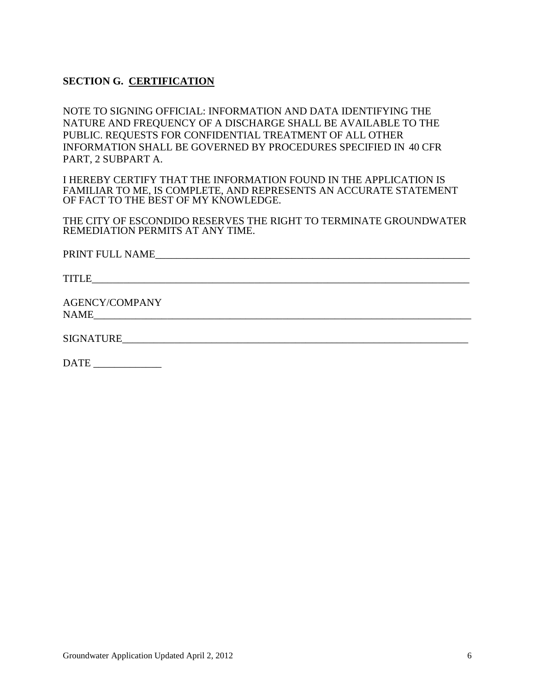# **SECTION G. CERTIFICATION**

 NOTE TO SIGNING OFFICIAL: INFORMATION AND DATA IDENTIFYING THE NATURE AND FREQUENCY OF A DISCHARGE SHALL BE AVAILABLE TO THE PUBLIC. REQUESTS FOR CONFIDENTIAL TREATMENT OF ALL OTHER INFORMATION SHALL BE GOVERNED BY PROCEDURES SPECIFIED IN 40 CFR PART, 2 SUBPART A.

I HEREBY CERTIFY THAT THE INFORMATION FOUND IN THE APPLICATION IS FAMILIAR TO ME, IS COMPLETE, AND REPRESENTS AN ACCURATE STATEMENT OF FACT TO THE BEST OF MY KNOWLEDGE.

THE CITY OF ESCONDIDO RESERVES THE RIGHT TO TERMINATE GROUNDWATER REMEDIATION PERMITS AT ANY TIME.

PRINT FULL NAME\_\_\_\_\_\_\_\_\_\_\_\_\_\_\_\_\_\_\_\_\_\_\_\_\_\_\_\_\_\_\_\_\_\_\_\_\_\_\_\_\_\_\_\_\_\_\_\_\_\_\_\_\_\_\_\_\_\_\_\_

TITLE\_\_\_\_\_\_\_\_\_\_\_\_\_\_\_\_\_\_\_\_\_\_\_\_\_\_\_\_\_\_\_\_\_\_\_\_\_\_\_\_\_\_\_\_\_\_\_\_\_\_\_\_\_\_\_\_\_\_\_\_\_\_\_\_\_\_\_\_\_\_\_\_

AGENCY/COMPANY NAME\_

SIGNATURE\_\_\_\_\_\_\_\_\_\_\_\_\_\_\_\_\_\_\_\_\_\_\_\_\_\_\_\_\_\_\_\_\_\_\_\_\_\_\_\_\_\_\_\_\_\_\_\_\_\_\_\_\_\_\_\_\_\_\_\_\_\_\_\_\_\_

DATE \_\_\_\_\_\_\_\_\_\_\_\_\_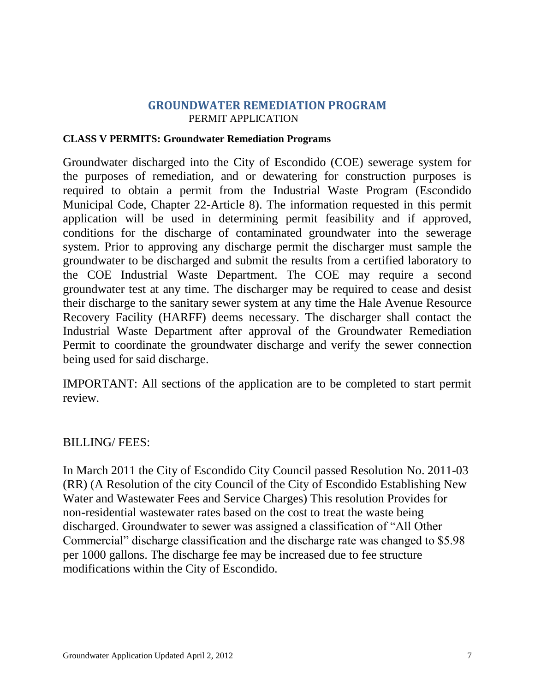## **GROUNDWATER REMEDIATION PROGRAM** PERMIT APPLICATION

#### **CLASS V PERMITS: Groundwater Remediation Programs**

Groundwater discharged into the City of Escondido (COE) sewerage system for the purposes of remediation, and or dewatering for construction purposes is required to obtain a permit from the Industrial Waste Program (Escondido Municipal Code, Chapter 22-Article 8). The information requested in this permit application will be used in determining permit feasibility and if approved, conditions for the discharge of contaminated groundwater into the sewerage system. Prior to approving any discharge permit the discharger must sample the groundwater to be discharged and submit the results from a certified laboratory to the COE Industrial Waste Department. The COE may require a second groundwater test at any time. The discharger may be required to cease and desist their discharge to the sanitary sewer system at any time the Hale Avenue Resource Recovery Facility (HARFF) deems necessary. The discharger shall contact the Industrial Waste Department after approval of the Groundwater Remediation Permit to coordinate the groundwater discharge and verify the sewer connection being used for said discharge.

IMPORTANT: All sections of the application are to be completed to start permit review.

# BILLING/ FEES:

In March 2011 the City of Escondido City Council passed Resolution No. 2011-03 (RR) (A Resolution of the city Council of the City of Escondido Establishing New Water and Wastewater Fees and Service Charges) This resolution Provides for non-residential wastewater rates based on the cost to treat the waste being discharged. Groundwater to sewer was assigned a classification of "All Other Commercial" discharge classification and the discharge rate was changed to \$5.98 per 1000 gallons. The discharge fee may be increased due to fee structure modifications within the City of Escondido.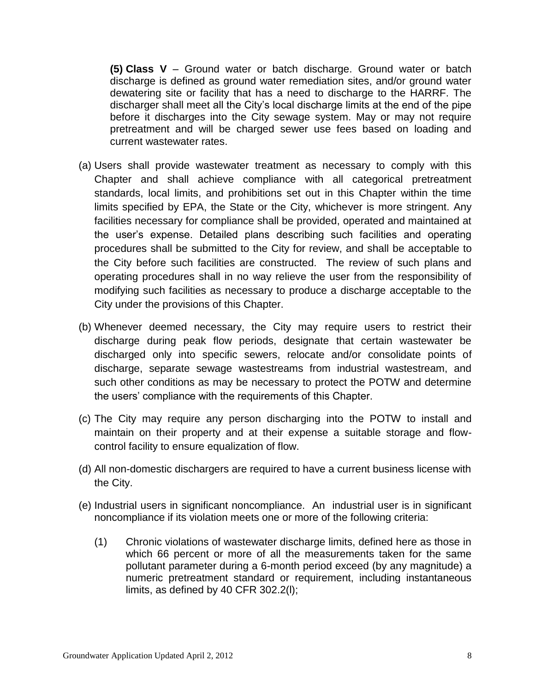**(5) Class V** – Ground water or batch discharge. Ground water or batch discharge is defined as ground water remediation sites, and/or ground water dewatering site or facility that has a need to discharge to the HARRF. The discharger shall meet all the City's local discharge limits at the end of the pipe before it discharges into the City sewage system. May or may not require pretreatment and will be charged sewer use fees based on loading and current wastewater rates.

- (a) Users shall provide wastewater treatment as necessary to comply with this Chapter and shall achieve compliance with all categorical pretreatment standards, local limits, and prohibitions set out in this Chapter within the time limits specified by EPA, the State or the City, whichever is more stringent. Any facilities necessary for compliance shall be provided, operated and maintained at the user's expense. Detailed plans describing such facilities and operating procedures shall be submitted to the City for review, and shall be acceptable to the City before such facilities are constructed. The review of such plans and operating procedures shall in no way relieve the user from the responsibility of modifying such facilities as necessary to produce a discharge acceptable to the City under the provisions of this Chapter.
- (b) Whenever deemed necessary, the City may require users to restrict their discharge during peak flow periods, designate that certain wastewater be discharged only into specific sewers, relocate and/or consolidate points of discharge, separate sewage wastestreams from industrial wastestream, and such other conditions as may be necessary to protect the POTW and determine the users' compliance with the requirements of this Chapter.
- (c) The City may require any person discharging into the POTW to install and maintain on their property and at their expense a suitable storage and flowcontrol facility to ensure equalization of flow.
- (d) All non-domestic dischargers are required to have a current business license with the City.
- (e) Industrial users in significant noncompliance. An industrial user is in significant noncompliance if its violation meets one or more of the following criteria:
	- (1) Chronic violations of wastewater discharge limits, defined here as those in which 66 percent or more of all the measurements taken for the same pollutant parameter during a 6-month period exceed (by any magnitude) a numeric pretreatment standard or requirement, including instantaneous limits, as defined by 40 CFR 302.2(l);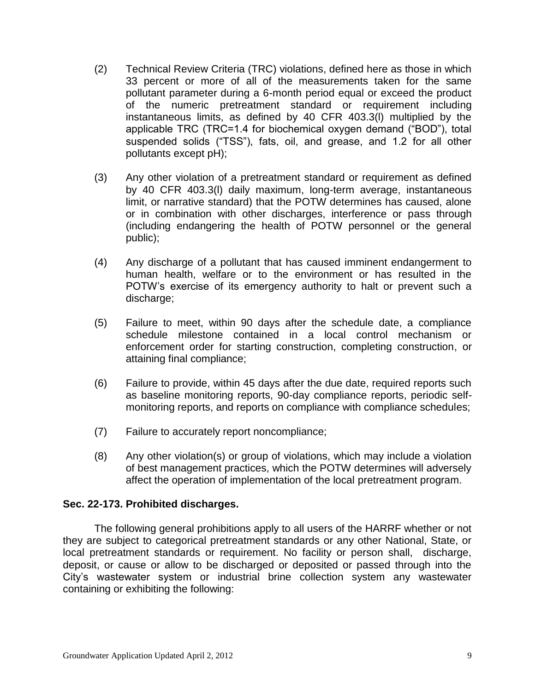- (2) Technical Review Criteria (TRC) violations, defined here as those in which 33 percent or more of all of the measurements taken for the same pollutant parameter during a 6-month period equal or exceed the product of the numeric pretreatment standard or requirement including instantaneous limits, as defined by 40 CFR 403.3(l) multiplied by the applicable TRC (TRC=1.4 for biochemical oxygen demand ("BOD"), total suspended solids ("TSS"), fats, oil, and grease, and 1.2 for all other pollutants except pH);
- (3) Any other violation of a pretreatment standard or requirement as defined by 40 CFR 403.3(l) daily maximum, long-term average, instantaneous limit, or narrative standard) that the POTW determines has caused, alone or in combination with other discharges, interference or pass through (including endangering the health of POTW personnel or the general public);
- (4) Any discharge of a pollutant that has caused imminent endangerment to human health, welfare or to the environment or has resulted in the POTW's exercise of its emergency authority to halt or prevent such a discharge;
- (5) Failure to meet, within 90 days after the schedule date, a compliance schedule milestone contained in a local control mechanism or enforcement order for starting construction, completing construction, or attaining final compliance;
- (6) Failure to provide, within 45 days after the due date, required reports such as baseline monitoring reports, 90-day compliance reports, periodic selfmonitoring reports, and reports on compliance with compliance schedules;
- (7) Failure to accurately report noncompliance;
- (8) Any other violation(s) or group of violations, which may include a violation of best management practices, which the POTW determines will adversely affect the operation of implementation of the local pretreatment program.

## **Sec. 22-173. [Prohibited discharges.](http://www.qcode.us/codes/escondido/view.php?topic=22-8-22_173&frames=on)**

The following general prohibitions apply to all users of the HARRF whether or not they are subject to categorical pretreatment standards or any other National, State, or local pretreatment standards or requirement. No facility or person shall, discharge, deposit, or cause or allow to be discharged or deposited or passed through into the City's wastewater system or industrial brine collection system any wastewater containing or exhibiting the following: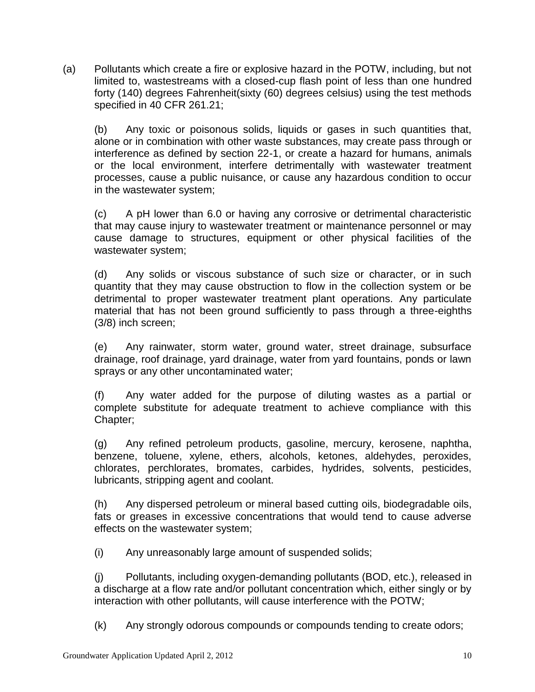(a) Pollutants which create a fire or explosive hazard in the POTW, including, but not limited to, wastestreams with a closed-cup flash point of less than one hundred forty (140) degrees Fahrenheit(sixty (60) degrees celsius) using the test methods specified in 40 CFR 261.21;

(b) Any toxic or poisonous solids, liquids or gases in such quantities that, alone or in combination with other waste substances, may create pass through or interference as defined by section 22-1, or create a hazard for humans, animals or the local environment, interfere detrimentally with wastewater treatment processes, cause a public nuisance, or cause any hazardous condition to occur in the wastewater system;

(c) A pH lower than 6.0 or having any corrosive or detrimental characteristic that may cause injury to wastewater treatment or maintenance personnel or may cause damage to structures, equipment or other physical facilities of the wastewater system;

(d) Any solids or viscous substance of such size or character, or in such quantity that they may cause obstruction to flow in the collection system or be detrimental to proper wastewater treatment plant operations. Any particulate material that has not been ground sufficiently to pass through a three-eighths (3/8) inch screen;

(e) Any rainwater, storm water, ground water, street drainage, subsurface drainage, roof drainage, yard drainage, water from yard fountains, ponds or lawn sprays or any other uncontaminated water;

(f) Any water added for the purpose of diluting wastes as a partial or complete substitute for adequate treatment to achieve compliance with this Chapter;

(g) Any refined petroleum products, gasoline, mercury, kerosene, naphtha, benzene, toluene, xylene, ethers, alcohols, ketones, aldehydes, peroxides, chlorates, perchlorates, bromates, carbides, hydrides, solvents, pesticides, lubricants, stripping agent and coolant.

(h) Any dispersed petroleum or mineral based cutting oils, biodegradable oils, fats or greases in excessive concentrations that would tend to cause adverse effects on the wastewater system;

(i) Any unreasonably large amount of suspended solids;

(j) Pollutants, including oxygen-demanding pollutants (BOD, etc.), released in a discharge at a flow rate and/or pollutant concentration which, either singly or by interaction with other pollutants, will cause interference with the POTW;

(k) Any strongly odorous compounds or compounds tending to create odors;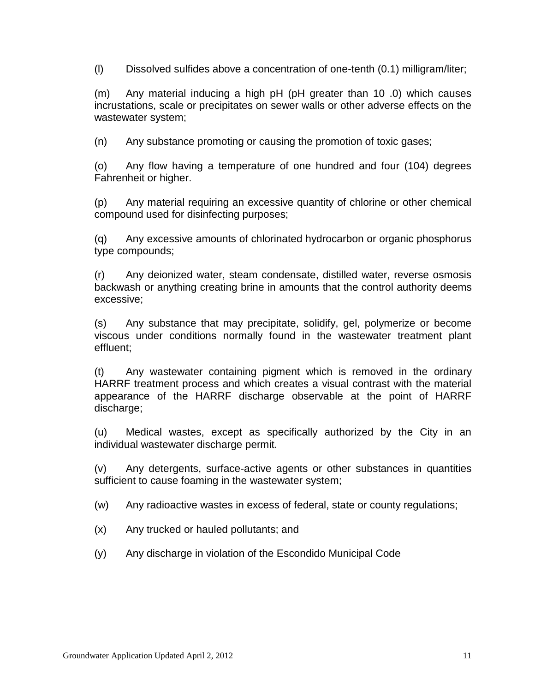(l) Dissolved sulfides above a concentration of one-tenth (0.1) milligram/liter;

(m) Any material inducing a high pH (pH greater than 10 .0) which causes incrustations, scale or precipitates on sewer walls or other adverse effects on the wastewater system;

(n) Any substance promoting or causing the promotion of toxic gases;

(o) Any flow having a temperature of one hundred and four (104) degrees Fahrenheit or higher.

(p) Any material requiring an excessive quantity of chlorine or other chemical compound used for disinfecting purposes;

(q) Any excessive amounts of chlorinated hydrocarbon or organic phosphorus type compounds;

(r) Any deionized water, steam condensate, distilled water, reverse osmosis backwash or anything creating brine in amounts that the control authority deems excessive;

(s) Any substance that may precipitate, solidify, gel, polymerize or become viscous under conditions normally found in the wastewater treatment plant effluent;

(t) Any wastewater containing pigment which is removed in the ordinary HARRF treatment process and which creates a visual contrast with the material appearance of the HARRF discharge observable at the point of HARRF discharge;

(u) Medical wastes, except as specifically authorized by the City in an individual wastewater discharge permit.

(v) Any detergents, surface-active agents or other substances in quantities sufficient to cause foaming in the wastewater system;

(w) Any radioactive wastes in excess of federal, state or county regulations;

- (x) Any trucked or hauled pollutants; and
- (y) Any discharge in violation of the Escondido Municipal Code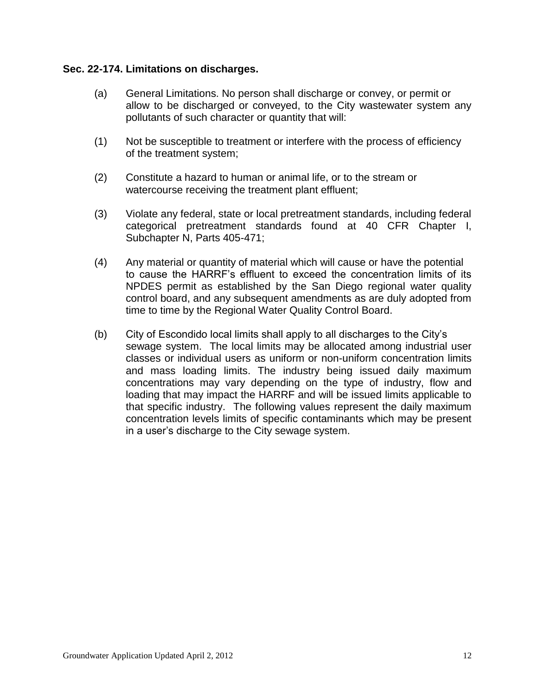#### **Sec. 22-174. [Limitations on discharges.](http://www.qcode.us/codes/escondido/view.php?topic=22-8-22_174&frames=on)**

- (a) General Limitations. No person shall discharge or convey, or permit or allow to be discharged or conveyed, to the City wastewater system any pollutants of such character or quantity that will:
- (1) Not be susceptible to treatment or interfere with the process of efficiency of the treatment system;
- (2) Constitute a hazard to human or animal life, or to the stream or watercourse receiving the treatment plant effluent;
- (3) Violate any federal, state or local pretreatment standards, including federal categorical pretreatment standards found at 40 CFR Chapter I, Subchapter N, Parts 405-471;
- (4) Any material or quantity of material which will cause or have the potential to cause the HARRF's effluent to exceed the concentration limits of its NPDES permit as established by the San Diego regional water quality control board, and any subsequent amendments as are duly adopted from time to time by the Regional Water Quality Control Board.
- (b) City of Escondido local limits shall apply to all discharges to the City's sewage system. The local limits may be allocated among industrial user classes or individual users as uniform or non-uniform concentration limits and mass loading limits. The industry being issued daily maximum concentrations may vary depending on the type of industry, flow and loading that may impact the HARRF and will be issued limits applicable to that specific industry. The following values represent the daily maximum concentration levels limits of specific contaminants which may be present in a user's discharge to the City sewage system.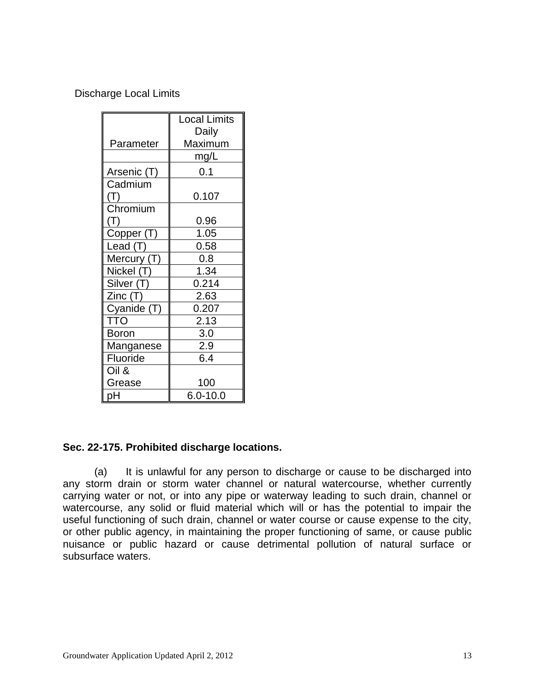Discharge Local Limits

|                                   | <b>Local Limits</b> |
|-----------------------------------|---------------------|
|                                   | Daily               |
| Parameter                         | Maximum             |
|                                   | mg/L                |
| Arsenic (T)                       | 0.1                 |
| Cadmium                           |                     |
| (T)                               | 0.107               |
| Chromium                          |                     |
| (T)                               | 0.96                |
| Copper (T)                        | 1.05                |
| Lead (T)                          | 0.58                |
| Mercury (T)                       | 0.8                 |
| $\overline{\mathsf{N}}$ ickel (T) | 1.34                |
| Silver (T)                        | 0.214               |
| Zinc (T)                          | 2.63                |
| Cyanide (T)                       | 0.207               |
| <b>TTO</b>                        | 2.13                |
| <b>Boron</b>                      | 3.0                 |
| Manganese                         | 2.9                 |
| Fluoride                          | 6.4                 |
| Oil &                             |                     |
| Grease                            | 100                 |
| pН                                | $6.0 - 10.0$        |

# **Sec. 22-175. [Prohibited discharge locations.](http://www.qcode.us/codes/escondido/view.php?topic=22-8-22_175&frames=on)**

(a) It is unlawful for any person to discharge or cause to be discharged into any storm drain or storm water channel or natural watercourse, whether currently carrying water or not, or into any pipe or waterway leading to such drain, channel or watercourse, any solid or fluid material which will or has the potential to impair the useful functioning of such drain, channel or water course or cause expense to the city, or other public agency, in maintaining the proper functioning of same, or cause public nuisance or public hazard or cause detrimental pollution of natural surface or subsurface waters.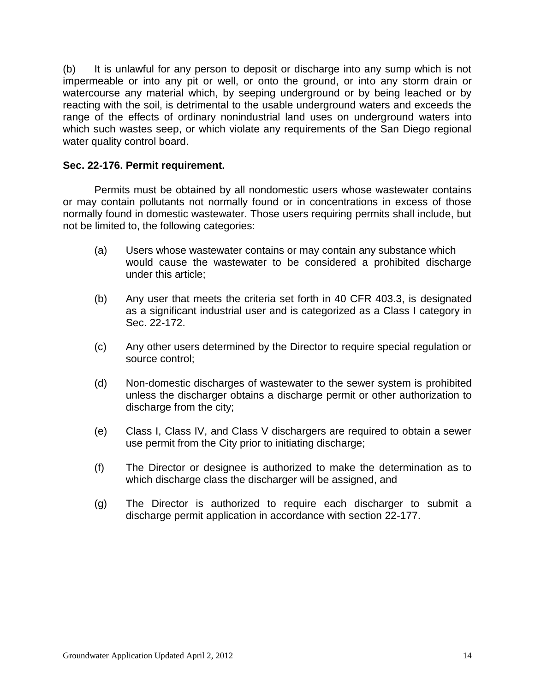(b) It is unlawful for any person to deposit or discharge into any sump which is not impermeable or into any pit or well, or onto the ground, or into any storm drain or watercourse any material which, by seeping underground or by being leached or by reacting with the soil, is detrimental to the usable underground waters and exceeds the range of the effects of ordinary nonindustrial land uses on underground waters into which such wastes seep, or which violate any requirements of the San Diego regional water quality control board.

#### **Sec. 22-176. [Permit requirement.](http://www.qcode.us/codes/escondido/view.php?topic=22-8-22_176&frames=on)**

Permits must be obtained by all nondomestic users whose wastewater contains or may contain pollutants not normally found or in concentrations in excess of those normally found in domestic wastewater. Those users requiring permits shall include, but not be limited to, the following categories:

- (a) Users whose wastewater contains or may contain any substance which would cause the wastewater to be considered a prohibited discharge under this article;
- (b) Any user that meets the criteria set forth in 40 CFR 403.3, is designated as a significant industrial user and is categorized as a Class I category in Sec. 22-172.
- (c) Any other users determined by the Director to require special regulation or source control;
- (d) Non-domestic discharges of wastewater to the sewer system is prohibited unless the discharger obtains a discharge permit or other authorization to discharge from the city;
- (e) Class I, Class IV, and Class V dischargers are required to obtain a sewer use permit from the City prior to initiating discharge;
- (f) The Director or designee is authorized to make the determination as to which discharge class the discharger will be assigned, and
- (g) The Director is authorized to require each discharger to submit a discharge permit application in accordance with section 22-177.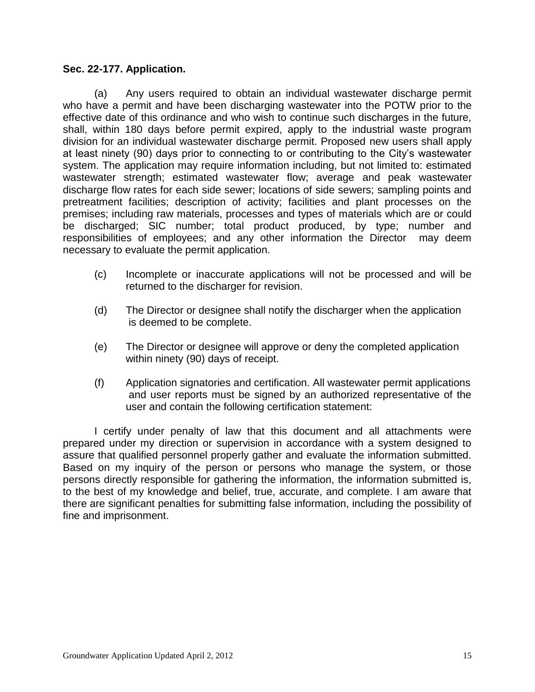## **[Sec. 22-177.](http://www.qcode.us/codes/escondido/view.php?topic=22-8-22_177&frames=on) Application.**

(a) Any users required to obtain an individual wastewater discharge permit who have a permit and have been discharging wastewater into the POTW prior to the effective date of this ordinance and who wish to continue such discharges in the future, shall, within 180 days before permit expired, apply to the industrial waste program division for an individual wastewater discharge permit. Proposed new users shall apply at least ninety (90) days prior to connecting to or contributing to the City's wastewater system. The application may require information including, but not limited to: estimated wastewater strength; estimated wastewater flow; average and peak wastewater discharge flow rates for each side sewer; locations of side sewers; sampling points and pretreatment facilities; description of activity; facilities and plant processes on the premises; including raw materials, processes and types of materials which are or could be discharged; SIC number; total product produced, by type; number and responsibilities of employees; and any other information the Director may deem necessary to evaluate the permit application.

- (c) Incomplete or inaccurate applications will not be processed and will be returned to the discharger for revision.
- (d) The Director or designee shall notify the discharger when the application is deemed to be complete.
- (e) The Director or designee will approve or deny the completed application within ninety (90) days of receipt.
- (f) Application signatories and certification. All wastewater permit applications and user reports must be signed by an authorized representative of the user and contain the following certification statement:

I certify under penalty of law that this document and all attachments were prepared under my direction or supervision in accordance with a system designed to assure that qualified personnel properly gather and evaluate the information submitted. Based on my inquiry of the person or persons who manage the system, or those persons directly responsible for gathering the information, the information submitted is, to the best of my knowledge and belief, true, accurate, and complete. I am aware that there are significant penalties for submitting false information, including the possibility of fine and imprisonment.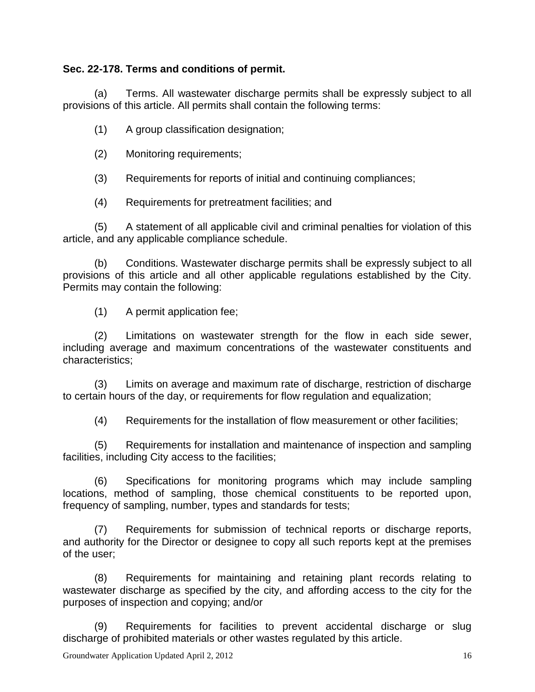## **Sec. 22-178. [Terms and conditions of permit.](http://www.qcode.us/codes/escondido/view.php?topic=22-8-22_178&frames=on)**

(a) Terms. All wastewater discharge permits shall be expressly subject to all provisions of this article. All permits shall contain the following terms:

(1) A group classification designation;

(2) Monitoring requirements;

(3) Requirements for reports of initial and continuing compliances;

(4) Requirements for pretreatment facilities; and

(5) A statement of all applicable civil and criminal penalties for violation of this article, and any applicable compliance schedule.

(b) Conditions. Wastewater discharge permits shall be expressly subject to all provisions of this article and all other applicable regulations established by the City. Permits may contain the following:

(1) A permit application fee;

(2) Limitations on wastewater strength for the flow in each side sewer, including average and maximum concentrations of the wastewater constituents and characteristics;

(3) Limits on average and maximum rate of discharge, restriction of discharge to certain hours of the day, or requirements for flow regulation and equalization;

(4) Requirements for the installation of flow measurement or other facilities;

(5) Requirements for installation and maintenance of inspection and sampling facilities, including City access to the facilities;

(6) Specifications for monitoring programs which may include sampling locations, method of sampling, those chemical constituents to be reported upon, frequency of sampling, number, types and standards for tests;

(7) Requirements for submission of technical reports or discharge reports, and authority for the Director or designee to copy all such reports kept at the premises of the user;

(8) Requirements for maintaining and retaining plant records relating to wastewater discharge as specified by the city, and affording access to the city for the purposes of inspection and copying; and/or

(9) Requirements for facilities to prevent accidental discharge or slug discharge of prohibited materials or other wastes regulated by this article.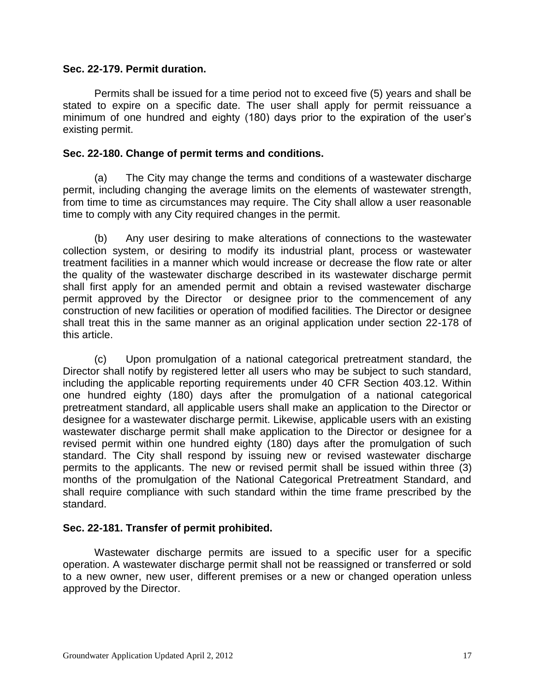#### **Sec. 22-179. [Permit duration.](http://www.qcode.us/codes/escondido/view.php?topic=22-8-22_179&frames=on)**

Permits shall be issued for a time period not to exceed five (5) years and shall be stated to expire on a specific date. The user shall apply for permit reissuance a minimum of one hundred and eighty (180) days prior to the expiration of the user's existing permit.

#### **Sec. 22-180. [Change of permit terms and conditions.](http://www.qcode.us/codes/escondido/view.php?topic=22-8-22_180&frames=on)**

(a) The City may change the terms and conditions of a wastewater discharge permit, including changing the average limits on the elements of wastewater strength, from time to time as circumstances may require. The City shall allow a user reasonable time to comply with any City required changes in the permit.

(b) Any user desiring to make alterations of connections to the wastewater collection system, or desiring to modify its industrial plant, process or wastewater treatment facilities in a manner which would increase or decrease the flow rate or alter the quality of the wastewater discharge described in its wastewater discharge permit shall first apply for an amended permit and obtain a revised wastewater discharge permit approved by the Director or designee prior to the commencement of any construction of new facilities or operation of modified facilities. The Director or designee shall treat this in the same manner as an original application under section 22-178 of this article.

(c) Upon promulgation of a national categorical pretreatment standard, the Director shall notify by registered letter all users who may be subject to such standard, including the applicable reporting requirements under 40 CFR Section 403.12. Within one hundred eighty (180) days after the promulgation of a national categorical pretreatment standard, all applicable users shall make an application to the Director or designee for a wastewater discharge permit. Likewise, applicable users with an existing wastewater discharge permit shall make application to the Director or designee for a revised permit within one hundred eighty (180) days after the promulgation of such standard. The City shall respond by issuing new or revised wastewater discharge permits to the applicants. The new or revised permit shall be issued within three (3) months of the promulgation of the National Categorical Pretreatment Standard, and shall require compliance with such standard within the time frame prescribed by the standard.

## **Sec. 22-181. [Transfer of permit prohibited.](http://www.qcode.us/codes/escondido/view.php?topic=22-8-22_181&frames=on)**

Wastewater discharge permits are issued to a specific user for a specific operation. A wastewater discharge permit shall not be reassigned or transferred or sold to a new owner, new user, different premises or a new or changed operation unless approved by the Director.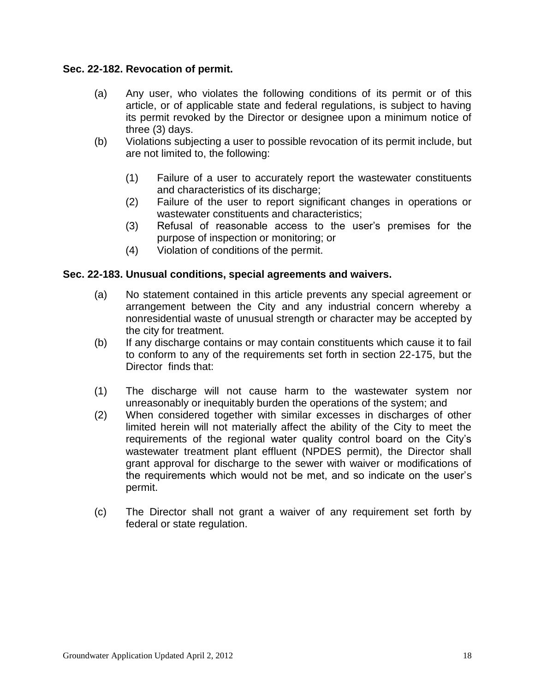#### **Sec. 22-182. [Revocation of permit.](http://www.qcode.us/codes/escondido/view.php?topic=22-8-22_182&frames=on)**

- (a) Any user, who violates the following conditions of its permit or of this article, or of applicable state and federal regulations, is subject to having its permit revoked by the Director or designee upon a minimum notice of three (3) days.
- (b) Violations subjecting a user to possible revocation of its permit include, but are not limited to, the following:
	- (1) Failure of a user to accurately report the wastewater constituents and characteristics of its discharge;
	- (2) Failure of the user to report significant changes in operations or wastewater constituents and characteristics;
	- (3) Refusal of reasonable access to the user's premises for the purpose of inspection or monitoring; or
	- (4) Violation of conditions of the permit.

## **Sec. 22-183. [Unusual conditions, special agreements and waivers.](http://www.qcode.us/codes/escondido/view.php?topic=22-8-22_183&frames=on)**

- (a) No statement contained in this article prevents any special agreement or arrangement between the City and any industrial concern whereby a nonresidential waste of unusual strength or character may be accepted by the city for treatment.
- (b) If any discharge contains or may contain constituents which cause it to fail to conform to any of the requirements set forth in section 22-175, but the Director finds that:
- (1) The discharge will not cause harm to the wastewater system nor unreasonably or inequitably burden the operations of the system; and
- (2) When considered together with similar excesses in discharges of other limited herein will not materially affect the ability of the City to meet the requirements of the regional water quality control board on the City's wastewater treatment plant effluent (NPDES permit), the Director shall grant approval for discharge to the sewer with waiver or modifications of the requirements which would not be met, and so indicate on the user's permit.
- (c) The Director shall not grant a waiver of any requirement set forth by federal or state regulation.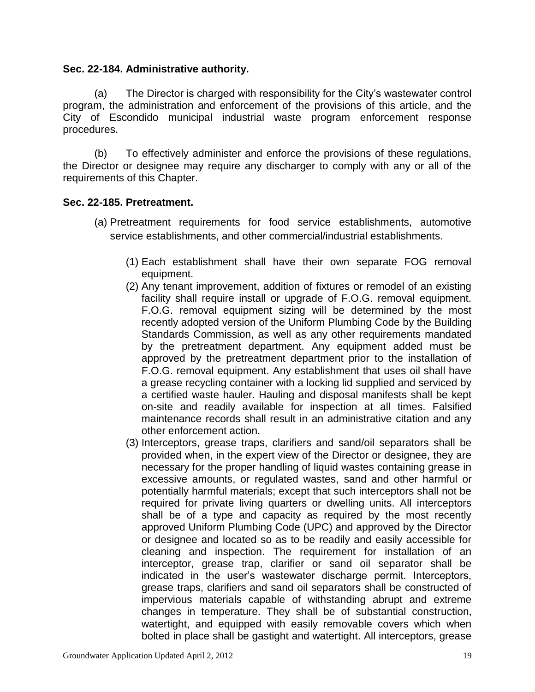## **Sec. 22-184. [Administrative authority.](http://www.qcode.us/codes/escondido/view.php?topic=22-8-22_184&frames=on)**

(a) The Director is charged with responsibility for the City's wastewater control program, the administration and enforcement of the provisions of this article, and the City of Escondido municipal industrial waste program enforcement response procedures.

(b) To effectively administer and enforce the provisions of these regulations, the Director or designee may require any discharger to comply with any or all of the requirements of this Chapter.

## **Sec. 22-185. [Pretreatment.](http://www.qcode.us/codes/escondido/view.php?topic=22-8-22_185&frames=on)**

- (a) Pretreatment requirements for food service establishments, automotive service establishments, and other commercial/industrial establishments.
	- (1) Each establishment shall have their own separate FOG removal equipment.
	- (2) Any tenant improvement, addition of fixtures or remodel of an existing facility shall require install or upgrade of F.O.G. removal equipment. F.O.G. removal equipment sizing will be determined by the most recently adopted version of the Uniform Plumbing Code by the Building Standards Commission, as well as any other requirements mandated by the pretreatment department. Any equipment added must be approved by the pretreatment department prior to the installation of F.O.G. removal equipment. Any establishment that uses oil shall have a grease recycling container with a locking lid supplied and serviced by a certified waste hauler. Hauling and disposal manifests shall be kept on-site and readily available for inspection at all times. Falsified maintenance records shall result in an administrative citation and any other enforcement action.
	- (3) Interceptors, grease traps, clarifiers and sand/oil separators shall be provided when, in the expert view of the Director or designee, they are necessary for the proper handling of liquid wastes containing grease in excessive amounts, or regulated wastes, sand and other harmful or potentially harmful materials; except that such interceptors shall not be required for private living quarters or dwelling units. All interceptors shall be of a type and capacity as required by the most recently approved Uniform Plumbing Code (UPC) and approved by the Director or designee and located so as to be readily and easily accessible for cleaning and inspection. The requirement for installation of an interceptor, grease trap, clarifier or sand oil separator shall be indicated in the user's wastewater discharge permit. Interceptors, grease traps, clarifiers and sand oil separators shall be constructed of impervious materials capable of withstanding abrupt and extreme changes in temperature. They shall be of substantial construction, watertight, and equipped with easily removable covers which when bolted in place shall be gastight and watertight. All interceptors, grease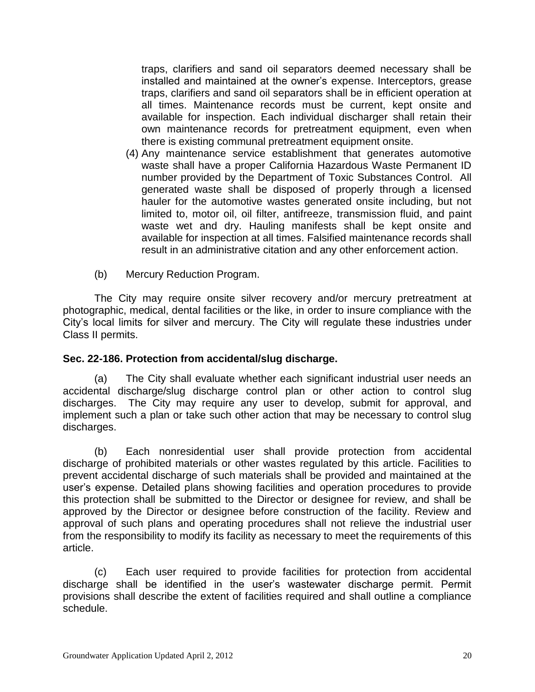traps, clarifiers and sand oil separators deemed necessary shall be installed and maintained at the owner's expense. Interceptors, grease traps, clarifiers and sand oil separators shall be in efficient operation at all times. Maintenance records must be current, kept onsite and available for inspection. Each individual discharger shall retain their own maintenance records for pretreatment equipment, even when there is existing communal pretreatment equipment onsite.

- (4) Any maintenance service establishment that generates automotive waste shall have a proper California Hazardous Waste Permanent ID number provided by the Department of Toxic Substances Control. All generated waste shall be disposed of properly through a licensed hauler for the automotive wastes generated onsite including, but not limited to, motor oil, oil filter, antifreeze, transmission fluid, and paint waste wet and dry. Hauling manifests shall be kept onsite and available for inspection at all times. Falsified maintenance records shall result in an administrative citation and any other enforcement action.
- (b) Mercury Reduction Program.

The City may require onsite silver recovery and/or mercury pretreatment at photographic, medical, dental facilities or the like, in order to insure compliance with the City's local limits for silver and mercury. The City will regulate these industries under Class II permits.

## **Sec. 22-186. [Protection from accidental/slug discharge.](http://www.qcode.us/codes/escondido/view.php?topic=22-8-22_186&frames=on)**

(a) The City shall evaluate whether each significant industrial user needs an accidental discharge/slug discharge control plan or other action to control slug discharges. The City may require any user to develop, submit for approval, and implement such a plan or take such other action that may be necessary to control slug discharges.

(b) Each nonresidential user shall provide protection from accidental discharge of prohibited materials or other wastes regulated by this article. Facilities to prevent accidental discharge of such materials shall be provided and maintained at the user's expense. Detailed plans showing facilities and operation procedures to provide this protection shall be submitted to the Director or designee for review, and shall be approved by the Director or designee before construction of the facility. Review and approval of such plans and operating procedures shall not relieve the industrial user from the responsibility to modify its facility as necessary to meet the requirements of this article.

(c) Each user required to provide facilities for protection from accidental discharge shall be identified in the user's wastewater discharge permit. Permit provisions shall describe the extent of facilities required and shall outline a compliance schedule.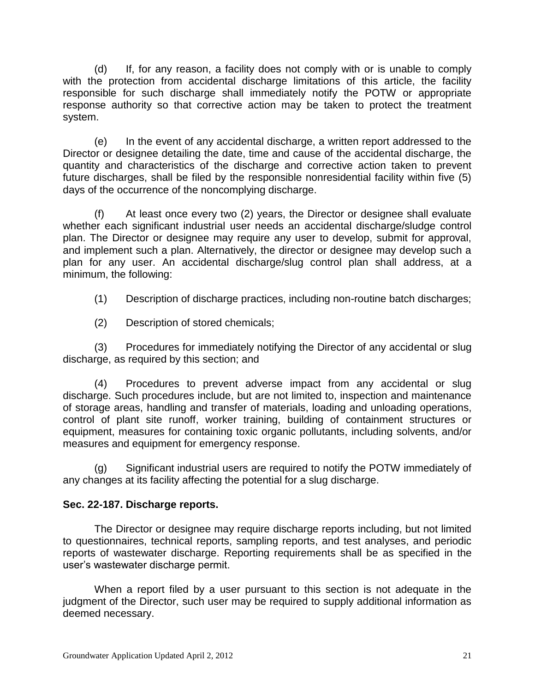(d) If, for any reason, a facility does not comply with or is unable to comply with the protection from accidental discharge limitations of this article, the facility responsible for such discharge shall immediately notify the POTW or appropriate response authority so that corrective action may be taken to protect the treatment system.

(e) In the event of any accidental discharge, a written report addressed to the Director or designee detailing the date, time and cause of the accidental discharge, the quantity and characteristics of the discharge and corrective action taken to prevent future discharges, shall be filed by the responsible nonresidential facility within five (5) days of the occurrence of the noncomplying discharge.

(f) At least once every two (2) years, the Director or designee shall evaluate whether each significant industrial user needs an accidental discharge/sludge control plan. The Director or designee may require any user to develop, submit for approval, and implement such a plan. Alternatively, the director or designee may develop such a plan for any user. An accidental discharge/slug control plan shall address, at a minimum, the following:

(1) Description of discharge practices, including non-routine batch discharges;

(2) Description of stored chemicals;

(3) Procedures for immediately notifying the Director of any accidental or slug discharge, as required by this section; and

(4) Procedures to prevent adverse impact from any accidental or slug discharge. Such procedures include, but are not limited to, inspection and maintenance of storage areas, handling and transfer of materials, loading and unloading operations, control of plant site runoff, worker training, building of containment structures or equipment, measures for containing toxic organic pollutants, including solvents, and/or measures and equipment for emergency response.

(g) Significant industrial users are required to notify the POTW immediately of any changes at its facility affecting the potential for a slug discharge.

# **Sec. 22-187. [Discharge reports.](http://www.qcode.us/codes/escondido/view.php?topic=22-8-22_187&frames=on)**

The Director or designee may require discharge reports including, but not limited to questionnaires, technical reports, sampling reports, and test analyses, and periodic reports of wastewater discharge. Reporting requirements shall be as specified in the user's wastewater discharge permit.

When a report filed by a user pursuant to this section is not adequate in the judgment of the Director, such user may be required to supply additional information as deemed necessary.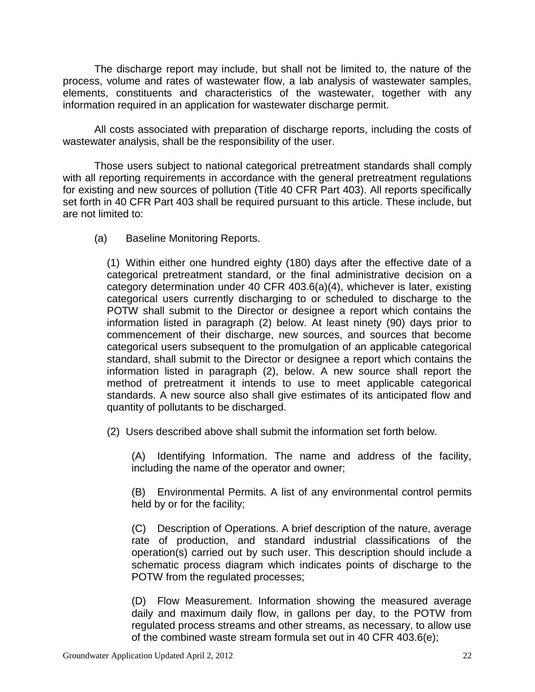The discharge report may include, but shall not be limited to, the nature of the process, volume and rates of wastewater flow, a lab analysis of wastewater samples, elements, constituents and characteristics of the wastewater, together with any information required in an application for wastewater discharge permit.

All costs associated with preparation of discharge reports, including the costs of wastewater analysis, shall be the responsibility of the user.

Those users subject to national categorical pretreatment standards shall comply with all reporting requirements in accordance with the general pretreatment regulations for existing and new sources of pollution (Title 40 CFR Part 403). All reports specifically set forth in 40 CFR Part 403 shall be required pursuant to this article. These include, but are not limited to:

(a) Baseline Monitoring Reports.

(1) Within either one hundred eighty (180) days after the effective date of a categorical pretreatment standard, or the final administrative decision on a category determination under 40 CFR 403.6(a)(4), whichever is later, existing categorical users currently discharging to or scheduled to discharge to the POTW shall submit to the Director or designee a report which contains the information listed in paragraph (2) below. At least ninety (90) days prior to commencement of their discharge, new sources, and sources that become categorical users subsequent to the promulgation of an applicable categorical standard, shall submit to the Director or designee a report which contains the information listed in paragraph (2), below. A new source shall report the method of pretreatment it intends to use to meet applicable categorical standards. A new source also shall give estimates of its anticipated flow and quantity of pollutants to be discharged.

(2) Users described above shall submit the information set forth below.

(A) Identifying Information. The name and address of the facility, including the name of the operator and owner;

(B) Environmental Permits. A list of any environmental control permits held by or for the facility;

(C) Description of Operations. A brief description of the nature, average rate of production, and standard industrial classifications of the operation(s) carried out by such user. This description should include a schematic process diagram which indicates points of discharge to the POTW from the regulated processes;

(D) Flow Measurement. Information showing the measured average daily and maximum daily flow, in gallons per day, to the POTW from regulated process streams and other streams, as necessary, to allow use of the combined waste stream formula set out in 40 CFR 403.6(e);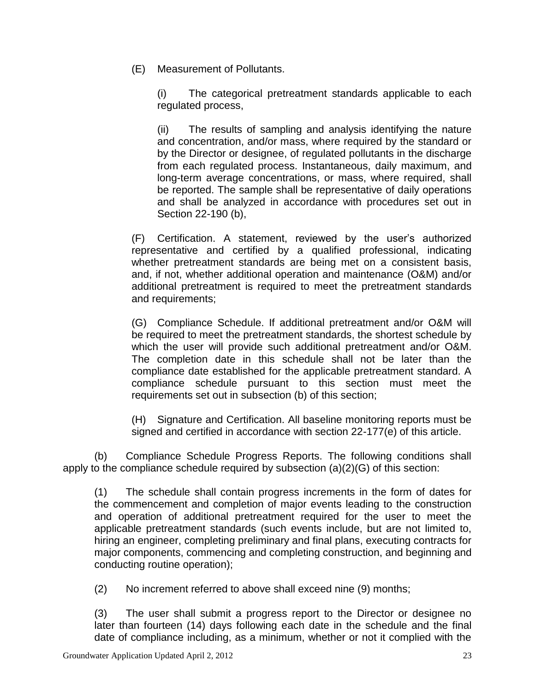(E) Measurement of Pollutants.

(i) The categorical pretreatment standards applicable to each regulated process,

(ii) The results of sampling and analysis identifying the nature and concentration, and/or mass, where required by the standard or by the Director or designee, of regulated pollutants in the discharge from each regulated process. Instantaneous, daily maximum, and long-term average concentrations, or mass, where required, shall be reported. The sample shall be representative of daily operations and shall be analyzed in accordance with procedures set out in Section 22-190 (b),

(F) Certification. A statement, reviewed by the user's authorized representative and certified by a qualified professional, indicating whether pretreatment standards are being met on a consistent basis, and, if not, whether additional operation and maintenance (O&M) and/or additional pretreatment is required to meet the pretreatment standards and requirements;

(G) Compliance Schedule. If additional pretreatment and/or O&M will be required to meet the pretreatment standards, the shortest schedule by which the user will provide such additional pretreatment and/or O&M. The completion date in this schedule shall not be later than the compliance date established for the applicable pretreatment standard. A compliance schedule pursuant to this section must meet the requirements set out in subsection (b) of this section;

(H) Signature and Certification. All baseline monitoring reports must be signed and certified in accordance with section 22-177(e) of this article.

(b) Compliance Schedule Progress Reports. The following conditions shall apply to the compliance schedule required by subsection (a)(2)(G) of this section:

(1) The schedule shall contain progress increments in the form of dates for the commencement and completion of major events leading to the construction and operation of additional pretreatment required for the user to meet the applicable pretreatment standards (such events include, but are not limited to, hiring an engineer, completing preliminary and final plans, executing contracts for major components, commencing and completing construction, and beginning and conducting routine operation);

(2) No increment referred to above shall exceed nine (9) months;

(3) The user shall submit a progress report to the Director or designee no later than fourteen (14) days following each date in the schedule and the final date of compliance including, as a minimum, whether or not it complied with the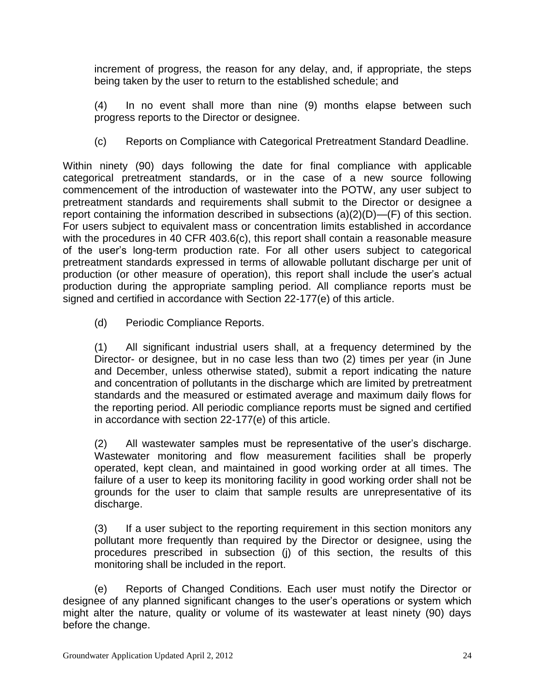increment of progress, the reason for any delay, and, if appropriate, the steps being taken by the user to return to the established schedule; and

(4) In no event shall more than nine (9) months elapse between such progress reports to the Director or designee.

(c) Reports on Compliance with Categorical Pretreatment Standard Deadline.

Within ninety (90) days following the date for final compliance with applicable categorical pretreatment standards, or in the case of a new source following commencement of the introduction of wastewater into the POTW, any user subject to pretreatment standards and requirements shall submit to the Director or designee a report containing the information described in subsections (a)(2)(D)—(F) of this section. For users subject to equivalent mass or concentration limits established in accordance with the procedures in 40 CFR 403.6(c), this report shall contain a reasonable measure of the user's long-term production rate. For all other users subject to categorical pretreatment standards expressed in terms of allowable pollutant discharge per unit of production (or other measure of operation), this report shall include the user's actual production during the appropriate sampling period. All compliance reports must be signed and certified in accordance with Section 22-177(e) of this article.

(d) Periodic Compliance Reports.

(1) All significant industrial users shall, at a frequency determined by the Director- or designee, but in no case less than two (2) times per year (in June and December, unless otherwise stated), submit a report indicating the nature and concentration of pollutants in the discharge which are limited by pretreatment standards and the measured or estimated average and maximum daily flows for the reporting period. All periodic compliance reports must be signed and certified in accordance with section 22-177(e) of this article.

(2) All wastewater samples must be representative of the user's discharge. Wastewater monitoring and flow measurement facilities shall be properly operated, kept clean, and maintained in good working order at all times. The failure of a user to keep its monitoring facility in good working order shall not be grounds for the user to claim that sample results are unrepresentative of its discharge.

(3) If a user subject to the reporting requirement in this section monitors any pollutant more frequently than required by the Director or designee, using the procedures prescribed in subsection (j) of this section, the results of this monitoring shall be included in the report.

(e) Reports of Changed Conditions. Each user must notify the Director or designee of any planned significant changes to the user's operations or system which might alter the nature, quality or volume of its wastewater at least ninety (90) days before the change.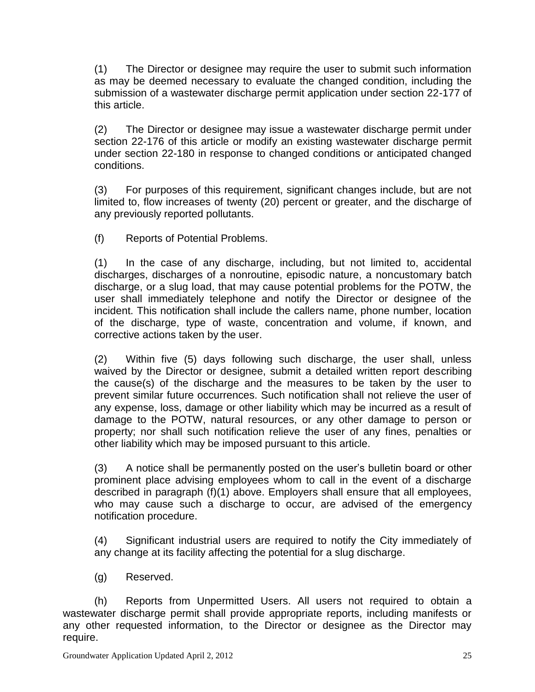(1) The Director or designee may require the user to submit such information as may be deemed necessary to evaluate the changed condition, including the submission of a wastewater discharge permit application under section 22-177 of this article.

(2) The Director or designee may issue a wastewater discharge permit under section 22-176 of this article or modify an existing wastewater discharge permit under section 22-180 in response to changed conditions or anticipated changed conditions.

(3) For purposes of this requirement, significant changes include, but are not limited to, flow increases of twenty (20) percent or greater, and the discharge of any previously reported pollutants.

(f) Reports of Potential Problems.

(1) In the case of any discharge, including, but not limited to, accidental discharges, discharges of a nonroutine, episodic nature, a noncustomary batch discharge, or a slug load, that may cause potential problems for the POTW, the user shall immediately telephone and notify the Director or designee of the incident. This notification shall include the callers name, phone number, location of the discharge, type of waste, concentration and volume, if known, and corrective actions taken by the user.

(2) Within five (5) days following such discharge, the user shall, unless waived by the Director or designee, submit a detailed written report describing the cause(s) of the discharge and the measures to be taken by the user to prevent similar future occurrences. Such notification shall not relieve the user of any expense, loss, damage or other liability which may be incurred as a result of damage to the POTW, natural resources, or any other damage to person or property; nor shall such notification relieve the user of any fines, penalties or other liability which may be imposed pursuant to this article.

(3) A notice shall be permanently posted on the user's bulletin board or other prominent place advising employees whom to call in the event of a discharge described in paragraph (f)(1) above. Employers shall ensure that all employees, who may cause such a discharge to occur, are advised of the emergency notification procedure.

(4) Significant industrial users are required to notify the City immediately of any change at its facility affecting the potential for a slug discharge.

(g) Reserved.

(h) Reports from Unpermitted Users. All users not required to obtain a wastewater discharge permit shall provide appropriate reports, including manifests or any other requested information, to the Director or designee as the Director may require.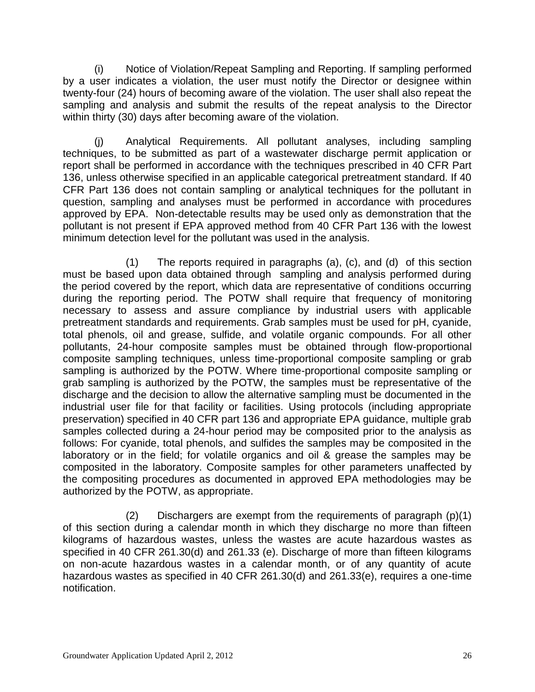(i) Notice of Violation/Repeat Sampling and Reporting. If sampling performed by a user indicates a violation, the user must notify the Director or designee within twenty-four (24) hours of becoming aware of the violation. The user shall also repeat the sampling and analysis and submit the results of the repeat analysis to the Director within thirty (30) days after becoming aware of the violation.

(j) Analytical Requirements. All pollutant analyses, including sampling techniques, to be submitted as part of a wastewater discharge permit application or report shall be performed in accordance with the techniques prescribed in 40 CFR Part 136, unless otherwise specified in an applicable categorical pretreatment standard. If 40 CFR Part 136 does not contain sampling or analytical techniques for the pollutant in question, sampling and analyses must be performed in accordance with procedures approved by EPA. Non-detectable results may be used only as demonstration that the pollutant is not present if EPA approved method from 40 CFR Part 136 with the lowest minimum detection level for the pollutant was used in the analysis.

(1) The reports required in paragraphs (a), (c), and (d) of this section must be based upon data obtained through sampling and analysis performed during the period covered by the report, which data are representative of conditions occurring during the reporting period. The POTW shall require that frequency of monitoring necessary to assess and assure compliance by industrial users with applicable pretreatment standards and requirements. Grab samples must be used for pH, cyanide, total phenols, oil and grease, sulfide, and volatile organic compounds. For all other pollutants, 24-hour composite samples must be obtained through flow-proportional composite sampling techniques, unless time-proportional composite sampling or grab sampling is authorized by the POTW. Where time-proportional composite sampling or grab sampling is authorized by the POTW, the samples must be representative of the discharge and the decision to allow the alternative sampling must be documented in the industrial user file for that facility or facilities. Using protocols (including appropriate preservation) specified in 40 CFR part 136 and appropriate EPA guidance, multiple grab samples collected during a 24-hour period may be composited prior to the analysis as follows: For cyanide, total phenols, and sulfides the samples may be composited in the laboratory or in the field; for volatile organics and oil & grease the samples may be composited in the laboratory. Composite samples for other parameters unaffected by the compositing procedures as documented in approved EPA methodologies may be authorized by the POTW, as appropriate.

(2) Dischargers are exempt from the requirements of paragraph (p)(1) of this section during a calendar month in which they discharge no more than fifteen kilograms of hazardous wastes, unless the wastes are acute hazardous wastes as specified in 40 CFR 261.30(d) and 261.33 (e). Discharge of more than fifteen kilograms on non-acute hazardous wastes in a calendar month, or of any quantity of acute hazardous wastes as specified in 40 CFR 261.30(d) and 261.33(e), requires a one-time notification.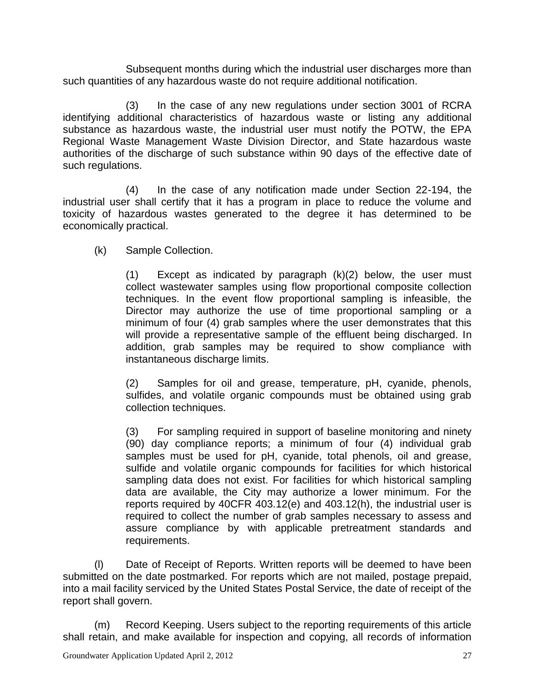Subsequent months during which the industrial user discharges more than such quantities of any hazardous waste do not require additional notification.

(3) In the case of any new regulations under section 3001 of RCRA identifying additional characteristics of hazardous waste or listing any additional substance as hazardous waste, the industrial user must notify the POTW, the EPA Regional Waste Management Waste Division Director, and State hazardous waste authorities of the discharge of such substance within 90 days of the effective date of such regulations.

(4) In the case of any notification made under Section 22-194, the industrial user shall certify that it has a program in place to reduce the volume and toxicity of hazardous wastes generated to the degree it has determined to be economically practical.

(k) Sample Collection.

(1) Except as indicated by paragraph (k)(2) below, the user must collect wastewater samples using flow proportional composite collection techniques. In the event flow proportional sampling is infeasible, the Director may authorize the use of time proportional sampling or a minimum of four (4) grab samples where the user demonstrates that this will provide a representative sample of the effluent being discharged. In addition, grab samples may be required to show compliance with instantaneous discharge limits.

(2) Samples for oil and grease, temperature, pH, cyanide, phenols, sulfides, and volatile organic compounds must be obtained using grab collection techniques.

(3) For sampling required in support of baseline monitoring and ninety (90) day compliance reports; a minimum of four (4) individual grab samples must be used for pH, cyanide, total phenols, oil and grease, sulfide and volatile organic compounds for facilities for which historical sampling data does not exist. For facilities for which historical sampling data are available, the City may authorize a lower minimum. For the reports required by 40CFR 403.12(e) and 403.12(h), the industrial user is required to collect the number of grab samples necessary to assess and assure compliance by with applicable pretreatment standards and requirements.

(l) Date of Receipt of Reports. Written reports will be deemed to have been submitted on the date postmarked. For reports which are not mailed, postage prepaid, into a mail facility serviced by the United States Postal Service, the date of receipt of the report shall govern.

(m) Record Keeping. Users subject to the reporting requirements of this article shall retain, and make available for inspection and copying, all records of information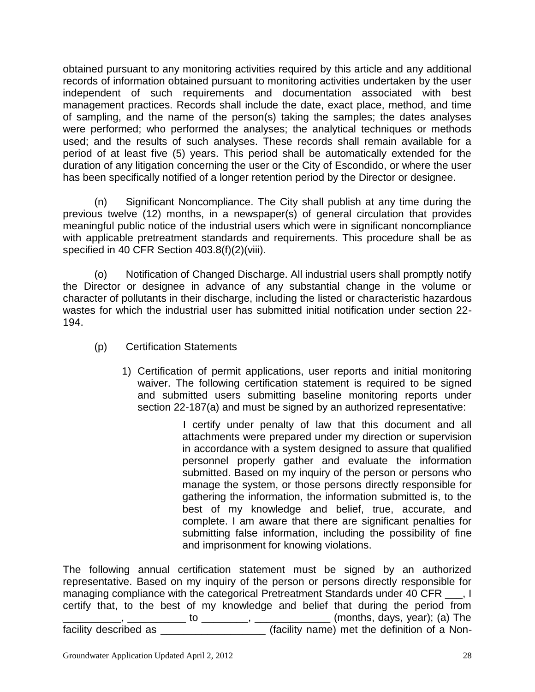obtained pursuant to any monitoring activities required by this article and any additional records of information obtained pursuant to monitoring activities undertaken by the user independent of such requirements and documentation associated with best management practices. Records shall include the date, exact place, method, and time of sampling, and the name of the person(s) taking the samples; the dates analyses were performed; who performed the analyses; the analytical techniques or methods used; and the results of such analyses. These records shall remain available for a period of at least five (5) years. This period shall be automatically extended for the duration of any litigation concerning the user or the City of Escondido, or where the user has been specifically notified of a longer retention period by the Director or designee.

(n) Significant Noncompliance. The City shall publish at any time during the previous twelve (12) months, in a newspaper(s) of general circulation that provides meaningful public notice of the industrial users which were in significant noncompliance with applicable pretreatment standards and requirements. This procedure shall be as specified in 40 CFR Section 403.8(f)(2)(viii).

(o) Notification of Changed Discharge. All industrial users shall promptly notify the Director or designee in advance of any substantial change in the volume or character of pollutants in their discharge, including the listed or characteristic hazardous wastes for which the industrial user has submitted initial notification under section 22- 194.

- (p) Certification Statements
	- 1) Certification of permit applications, user reports and initial monitoring waiver. The following certification statement is required to be signed and submitted users submitting baseline monitoring reports under section 22-187(a) and must be signed by an authorized representative:

 I certify under penalty of law that this document and all attachments were prepared under my direction or supervision in accordance with a system designed to assure that qualified personnel properly gather and evaluate the information submitted. Based on my inquiry of the person or persons who manage the system, or those persons directly responsible for gathering the information, the information submitted is, to the best of my knowledge and belief, true, accurate, and complete. I am aware that there are significant penalties for submitting false information, including the possibility of fine and imprisonment for knowing violations.

The following annual certification statement must be signed by an authorized representative. Based on my inquiry of the person or persons directly responsible for managing compliance with the categorical Pretreatment Standards under 40 CFR \_\_\_, I certify that, to the best of my knowledge and belief that during the period from \_\_\_\_\_\_\_\_\_\_, \_\_\_\_\_\_\_\_\_\_ to \_\_\_\_\_\_\_\_, \_\_\_\_\_\_\_\_\_\_\_\_\_ (months, days, year); (a) The

facility described as \_\_\_\_\_\_\_\_\_\_\_\_\_\_\_\_\_\_\_\_\_(facility name) met the definition of a Non-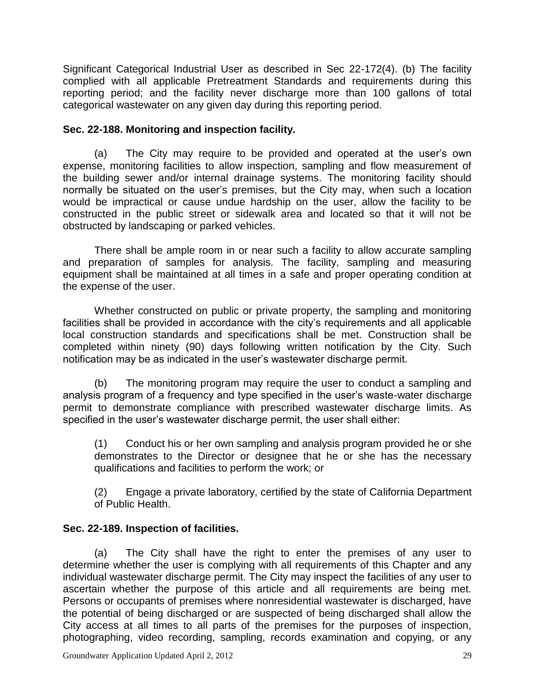Significant Categorical Industrial User as described in Sec 22-172(4). (b) The facility complied with all applicable Pretreatment Standards and requirements during this reporting period; and the facility never discharge more than 100 gallons of total categorical wastewater on any given day during this reporting period.

# **Sec. 22-188. [Monitoring and inspection facility.](http://www.qcode.us/codes/escondido/view.php?topic=22-8-22_188&frames=on)**

(a) The City may require to be provided and operated at the user's own expense, monitoring facilities to allow inspection, sampling and flow measurement of the building sewer and/or internal drainage systems. The monitoring facility should normally be situated on the user's premises, but the City may, when such a location would be impractical or cause undue hardship on the user, allow the facility to be constructed in the public street or sidewalk area and located so that it will not be obstructed by landscaping or parked vehicles.

There shall be ample room in or near such a facility to allow accurate sampling and preparation of samples for analysis. The facility, sampling and measuring equipment shall be maintained at all times in a safe and proper operating condition at the expense of the user.

Whether constructed on public or private property, the sampling and monitoring facilities shall be provided in accordance with the city's requirements and all applicable local construction standards and specifications shall be met. Construction shall be completed within ninety (90) days following written notification by the City. Such notification may be as indicated in the user's wastewater discharge permit.

(b) The monitoring program may require the user to conduct a sampling and analysis program of a frequency and type specified in the user's waste-water discharge permit to demonstrate compliance with prescribed wastewater discharge limits. As specified in the user's wastewater discharge permit, the user shall either:

(1) Conduct his or her own sampling and analysis program provided he or she demonstrates to the Director or designee that he or she has the necessary qualifications and facilities to perform the work; or

(2) Engage a private laboratory, certified by the state of California Department of Public Health.

# **Sec. 22-189. [Inspection of facilities.](http://www.qcode.us/codes/escondido/view.php?topic=22-8-22_189&frames=on)**

(a) The City shall have the right to enter the premises of any user to determine whether the user is complying with all requirements of this Chapter and any individual wastewater discharge permit. The City may inspect the facilities of any user to ascertain whether the purpose of this article and all requirements are being met. Persons or occupants of premises where nonresidential wastewater is discharged, have the potential of being discharged or are suspected of being discharged shall allow the City access at all times to all parts of the premises for the purposes of inspection, photographing, video recording, sampling, records examination and copying, or any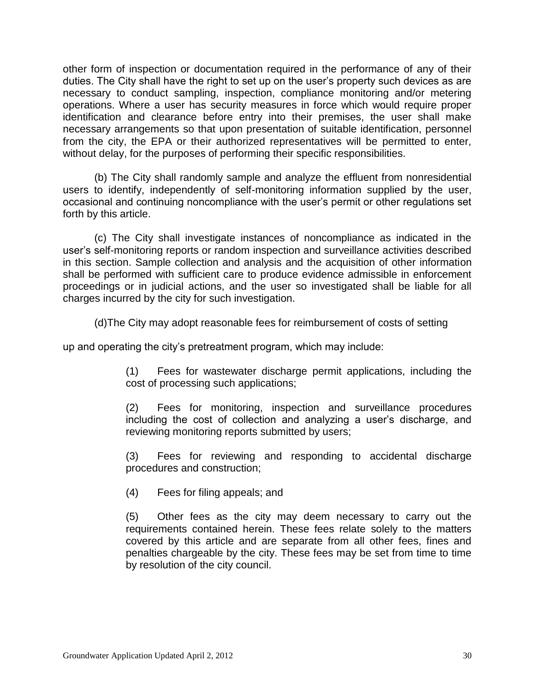other form of inspection or documentation required in the performance of any of their duties. The City shall have the right to set up on the user's property such devices as are necessary to conduct sampling, inspection, compliance monitoring and/or metering operations. Where a user has security measures in force which would require proper identification and clearance before entry into their premises, the user shall make necessary arrangements so that upon presentation of suitable identification, personnel from the city, the EPA or their authorized representatives will be permitted to enter, without delay, for the purposes of performing their specific responsibilities.

(b) The City shall randomly sample and analyze the effluent from nonresidential users to identify, independently of self-monitoring information supplied by the user, occasional and continuing noncompliance with the user's permit or other regulations set forth by this article.

(c) The City shall investigate instances of noncompliance as indicated in the user's self-monitoring reports or random inspection and surveillance activities described in this section. Sample collection and analysis and the acquisition of other information shall be performed with sufficient care to produce evidence admissible in enforcement proceedings or in judicial actions, and the user so investigated shall be liable for all charges incurred by the city for such investigation.

(d)The City may adopt reasonable fees for reimbursement of costs of setting

up and operating the city's pretreatment program, which may include:

(1) Fees for wastewater discharge permit applications, including the cost of processing such applications;

(2) Fees for monitoring, inspection and surveillance procedures including the cost of collection and analyzing a user's discharge, and reviewing monitoring reports submitted by users;

(3) Fees for reviewing and responding to accidental discharge procedures and construction;

(4) Fees for filing appeals; and

(5) Other fees as the city may deem necessary to carry out the requirements contained herein. These fees relate solely to the matters covered by this article and are separate from all other fees, fines and penalties chargeable by the city. These fees may be set from time to time by resolution of the city council.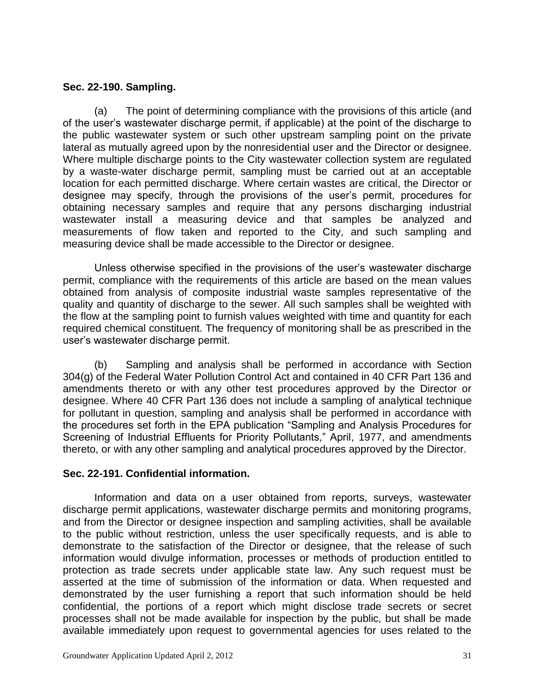## **[Sec. 22-190.](http://www.qcode.us/codes/escondido/view.php?topic=22-8-22_190&frames=on) Sampling.**

(a) The point of determining compliance with the provisions of this article (and of the user's wastewater discharge permit, if applicable) at the point of the discharge to the public wastewater system or such other upstream sampling point on the private lateral as mutually agreed upon by the nonresidential user and the Director or designee. Where multiple discharge points to the City wastewater collection system are regulated by a waste-water discharge permit, sampling must be carried out at an acceptable location for each permitted discharge. Where certain wastes are critical, the Director or designee may specify, through the provisions of the user's permit, procedures for obtaining necessary samples and require that any persons discharging industrial wastewater install a measuring device and that samples be analyzed and measurements of flow taken and reported to the City, and such sampling and measuring device shall be made accessible to the Director or designee.

Unless otherwise specified in the provisions of the user's wastewater discharge permit, compliance with the requirements of this article are based on the mean values obtained from analysis of composite industrial waste samples representative of the quality and quantity of discharge to the sewer. All such samples shall be weighted with the flow at the sampling point to furnish values weighted with time and quantity for each required chemical constituent. The frequency of monitoring shall be as prescribed in the user's wastewater discharge permit.

(b) Sampling and analysis shall be performed in accordance with Section 304(g) of the Federal Water Pollution Control Act and contained in 40 CFR Part 136 and amendments thereto or with any other test procedures approved by the Director or designee. Where 40 CFR Part 136 does not include a sampling of analytical technique for pollutant in question, sampling and analysis shall be performed in accordance with the procedures set forth in the EPA publication "Sampling and Analysis Procedures for Screening of Industrial Effluents for Priority Pollutants," April, 1977, and amendments thereto, or with any other sampling and analytical procedures approved by the Director.

# **Sec. 22-191. [Confidential information.](http://www.qcode.us/codes/escondido/view.php?topic=22-8-22_191&frames=on)**

Information and data on a user obtained from reports, surveys, wastewater discharge permit applications, wastewater discharge permits and monitoring programs, and from the Director or designee inspection and sampling activities, shall be available to the public without restriction, unless the user specifically requests, and is able to demonstrate to the satisfaction of the Director or designee, that the release of such information would divulge information, processes or methods of production entitled to protection as trade secrets under applicable state law. Any such request must be asserted at the time of submission of the information or data. When requested and demonstrated by the user furnishing a report that such information should be held confidential, the portions of a report which might disclose trade secrets or secret processes shall not be made available for inspection by the public, but shall be made available immediately upon request to governmental agencies for uses related to the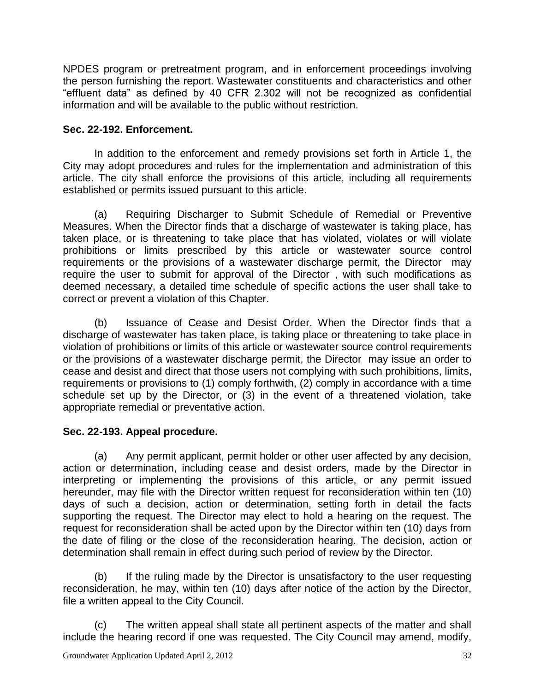NPDES program or pretreatment program, and in enforcement proceedings involving the person furnishing the report. Wastewater constituents and characteristics and other "effluent data" as defined by 40 CFR 2.302 will not be recognized as confidential information and will be available to the public without restriction.

# **Sec. 22-192. [Enforcement.](http://www.qcode.us/codes/escondido/view.php?topic=22-8-22_192&frames=on)**

In addition to the enforcement and remedy provisions set forth in Article 1, the City may adopt procedures and rules for the implementation and administration of this article. The city shall enforce the provisions of this article, including all requirements established or permits issued pursuant to this article.

(a) Requiring Discharger to Submit Schedule of Remedial or Preventive Measures. When the Director finds that a discharge of wastewater is taking place, has taken place, or is threatening to take place that has violated, violates or will violate prohibitions or limits prescribed by this article or wastewater source control requirements or the provisions of a wastewater discharge permit, the Director may require the user to submit for approval of the Director , with such modifications as deemed necessary, a detailed time schedule of specific actions the user shall take to correct or prevent a violation of this Chapter.

(b) Issuance of Cease and Desist Order. When the Director finds that a discharge of wastewater has taken place, is taking place or threatening to take place in violation of prohibitions or limits of this article or wastewater source control requirements or the provisions of a wastewater discharge permit, the Director may issue an order to cease and desist and direct that those users not complying with such prohibitions, limits, requirements or provisions to (1) comply forthwith, (2) comply in accordance with a time schedule set up by the Director, or (3) in the event of a threatened violation, take appropriate remedial or preventative action.

# **Sec. 22-193. [Appeal procedure.](http://www.qcode.us/codes/escondido/view.php?topic=22-8-22_193&frames=on)**

(a) Any permit applicant, permit holder or other user affected by any decision, action or determination, including cease and desist orders, made by the Director in interpreting or implementing the provisions of this article, or any permit issued hereunder, may file with the Director written request for reconsideration within ten (10) days of such a decision, action or determination, setting forth in detail the facts supporting the request. The Director may elect to hold a hearing on the request. The request for reconsideration shall be acted upon by the Director within ten (10) days from the date of filing or the close of the reconsideration hearing. The decision, action or determination shall remain in effect during such period of review by the Director.

(b) If the ruling made by the Director is unsatisfactory to the user requesting reconsideration, he may, within ten (10) days after notice of the action by the Director, file a written appeal to the City Council.

(c) The written appeal shall state all pertinent aspects of the matter and shall include the hearing record if one was requested. The City Council may amend, modify,